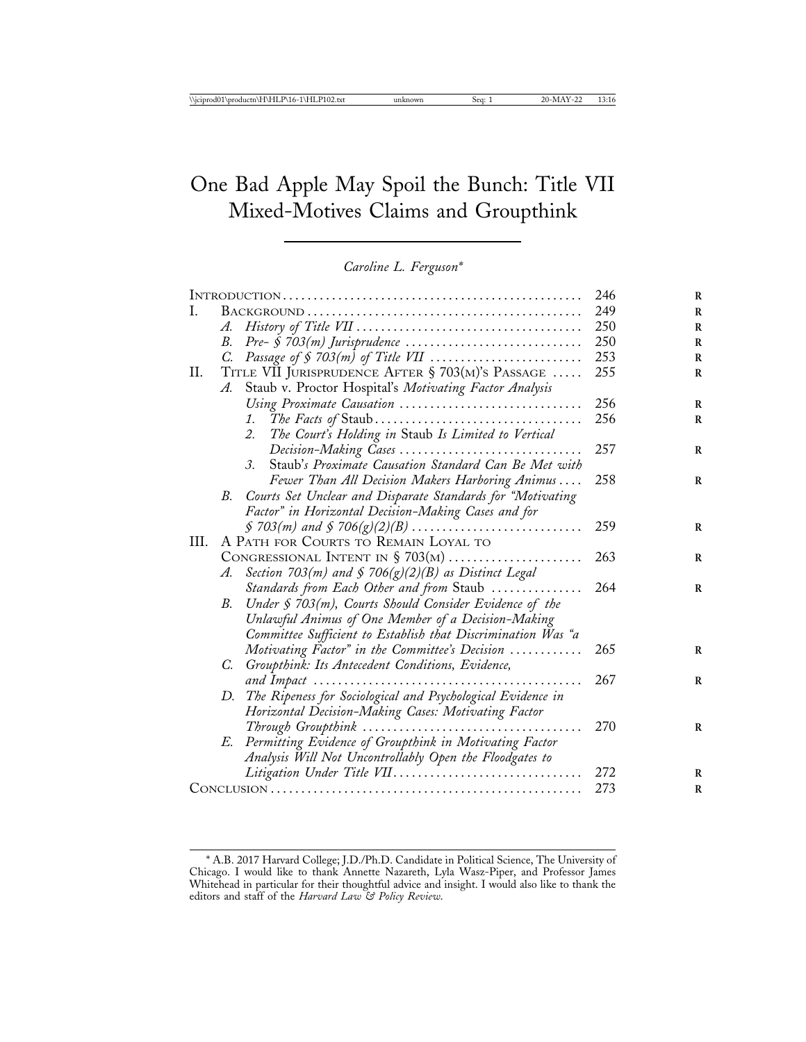# One Bad Apple May Spoil the Bunch: Title VII Mixed-Motives Claims and Groupthink

*Caroline L. Ferguson\**

| L  |                                                  |                                                                | 249 |
|----|--------------------------------------------------|----------------------------------------------------------------|-----|
|    | A.                                               |                                                                | 250 |
|    | В.                                               |                                                                | 250 |
|    | C.                                               |                                                                | 253 |
| П. | TITLE VII JURISPRUDENCE AFTER § 703(M)'S PASSAGE |                                                                | 255 |
|    | A.                                               | Staub v. Proctor Hospital's Motivating Factor Analysis         |     |
|    |                                                  | Using Proximate Causation                                      | 256 |
|    |                                                  |                                                                | 256 |
|    |                                                  | The Court's Holding in Staub Is Limited to Vertical<br>2.      |     |
|    |                                                  | Decision-Making Cases                                          | 257 |
|    |                                                  | Staub's Proximate Causation Standard Can Be Met with<br>3.     |     |
|    |                                                  | Fewer Than All Decision Makers Harboring Animus                | 258 |
|    | В.                                               | Courts Set Unclear and Disparate Standards for "Motivating     |     |
|    |                                                  | Factor" in Horizontal Decision-Making Cases and for            |     |
|    |                                                  |                                                                | 259 |
| Ш. | A PATH FOR COURTS TO REMAIN LOYAL TO             |                                                                |     |
|    | CONGRESSIONAL INTENT IN $\S$ 703(M)              |                                                                | 263 |
|    | A.                                               | Section 703(m) and § 706(g)(2)(B) as Distinct Legal            |     |
|    |                                                  | Standards from Each Other and from Staub                       | 264 |
|    | В.                                               | Under § 703(m), Courts Should Consider Evidence of the         |     |
|    |                                                  | Unlawful Animus of One Member of a Decision-Making             |     |
|    |                                                  | Committee Sufficient to Establish that Discrimination Was "a   |     |
|    |                                                  | Motivating Factor" in the Committee's Decision                 | 265 |
|    | C.                                               | Groupthink: Its Antecedent Conditions, Evidence,               |     |
|    |                                                  |                                                                | 267 |
|    |                                                  | D. The Ripeness for Sociological and Psychological Evidence in |     |
|    |                                                  | Horizontal Decision-Making Cases: Motivating Factor            |     |
|    |                                                  |                                                                | 270 |
|    | E.                                               | Permitting Evidence of Groupthink in Motivating Factor         |     |
|    |                                                  | Analysis Will Not Uncontrollably Open the Floodgates to        |     |
|    |                                                  | Litigation Under Title VII                                     | 272 |
|    |                                                  |                                                                | 273 |

<sup>\*</sup> A.B. 2017 Harvard College; J.D./Ph.D. Candidate in Political Science, The University of Chicago. I would like to thank Annette Nazareth, Lyla Wasz-Piper, and Professor James Whitehead in particular for their thoughtful advice and insight. I would also like to thank the editors and staff of the *Harvard Law & Policy Review*.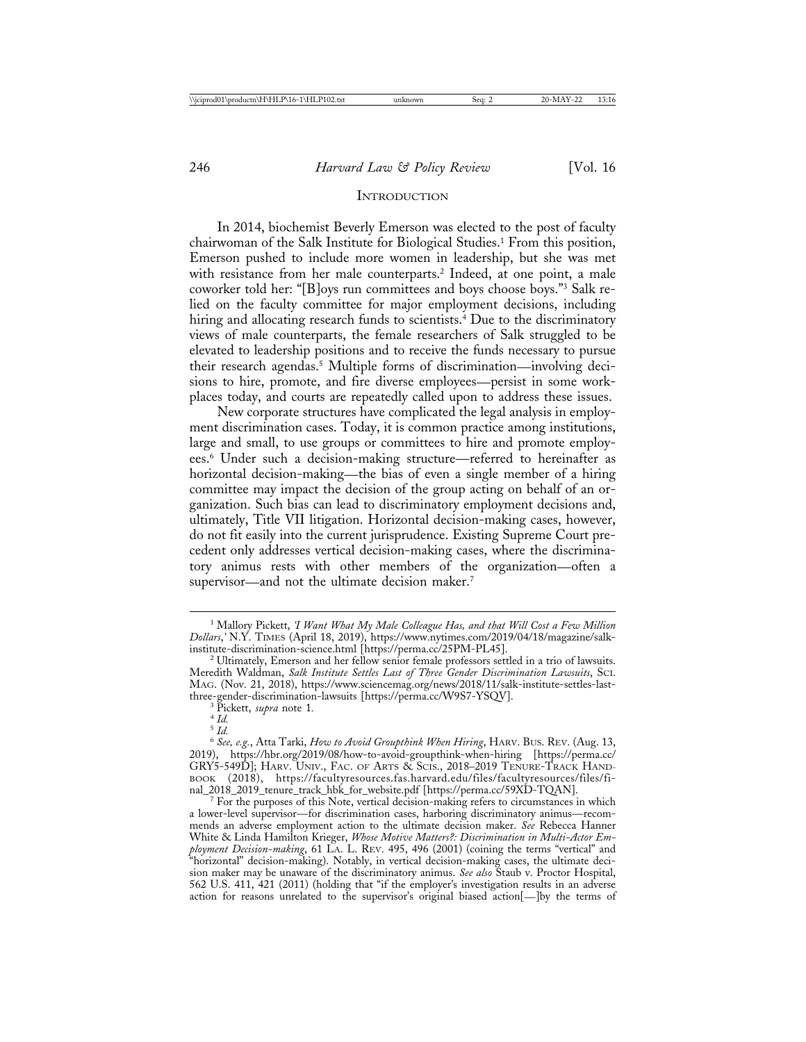#### **INTRODUCTION**

In 2014, biochemist Beverly Emerson was elected to the post of faculty chairwoman of the Salk Institute for Biological Studies.1 From this position, Emerson pushed to include more women in leadership, but she was met with resistance from her male counterparts.<sup>2</sup> Indeed, at one point, a male coworker told her: "[B]oys run committees and boys choose boys."3 Salk relied on the faculty committee for major employment decisions, including hiring and allocating research funds to scientists.<sup>4</sup> Due to the discriminatory views of male counterparts, the female researchers of Salk struggled to be elevated to leadership positions and to receive the funds necessary to pursue their research agendas.5 Multiple forms of discrimination—involving decisions to hire, promote, and fire diverse employees—persist in some workplaces today, and courts are repeatedly called upon to address these issues.

New corporate structures have complicated the legal analysis in employment discrimination cases. Today, it is common practice among institutions, large and small, to use groups or committees to hire and promote employees.6 Under such a decision-making structure—referred to hereinafter as horizontal decision-making—the bias of even a single member of a hiring committee may impact the decision of the group acting on behalf of an organization. Such bias can lead to discriminatory employment decisions and, ultimately, Title VII litigation. Horizontal decision-making cases, however, do not fit easily into the current jurisprudence. Existing Supreme Court precedent only addresses vertical decision-making cases, where the discriminatory animus rests with other members of the organization—often a supervisor—and not the ultimate decision maker.<sup>7</sup>

<sup>1</sup> Mallory Pickett, *'I Want What My Male Colleague Has, and that Will Cost a Few Million Dollars*,*'* N.Y. TIMES (April 18, 2019), https://www.nytimes.com/2019/04/18/magazine/salk-

 $^2$  Ultimately, Emerson and her fellow senior female professors settled in a trio of lawsuits. Meredith Waldman, *Salk Institute Settles Last of Three Gender Discrimination Lawsuits*, SCI. MAG. (Nov. 21, 2018), https://www.sciencemag.org/news/2018/11/salk-institute-settles-lastthree-gender-discrimination-lawsuits [https://perma.cc/W9S7-YSQV]. <sup>3</sup> Pickett, *supra* note 1*.* <sup>4</sup> *Id.*

 $\int_{5}^{4}$  *Id.* 

<sup>6</sup> *See, e.g.*, Atta Tarki, *How to Avoid Groupthink When Hiring*, HARV. BUS. REV. (Aug. 13, 2019), https://hbr.org/2019/08/how-to-avoid-groupthink-when-hiring [https://perma.cc/ GRY5-549D]; HARV. UNIV., FAC. OF ARTS & SCIS., 2018-2019 TENURE-TRACK HAND-BOOK (2018), https://facultyresources.fas.harvard.edu/files/facultyresources/files/fi-<br>nal\_2018\_2019\_tenure\_track\_hbk\_for\_website.pdf [https://perma.cc/59XD-TQAN].

 $^7$  For the purposes of this Note, vertical decision-making refers to circumstances in which a lower-level supervisor—for discrimination cases, harboring discriminatory animus—recommends an adverse employment action to the ultimate decision maker. *See* Rebecca Hanner White & Linda Hamilton Krieger, *Whose Motive Matters?: Discrimination in Multi-Actor Employment Decision-making*, 61 LA. L. REV. 495, 496 (2001) (coining the terms "vertical" and "horizontal" decision-making). Notably, in vertical decision-making cases, the ultimate decision maker may be unaware of the discriminatory animus. *See also* Staub v. Proctor Hospital, 562 U.S. 411, 421 (2011) (holding that "if the employer's investigation results in an adverse action for reasons unrelated to the supervisor's original biased action[—]by the terms of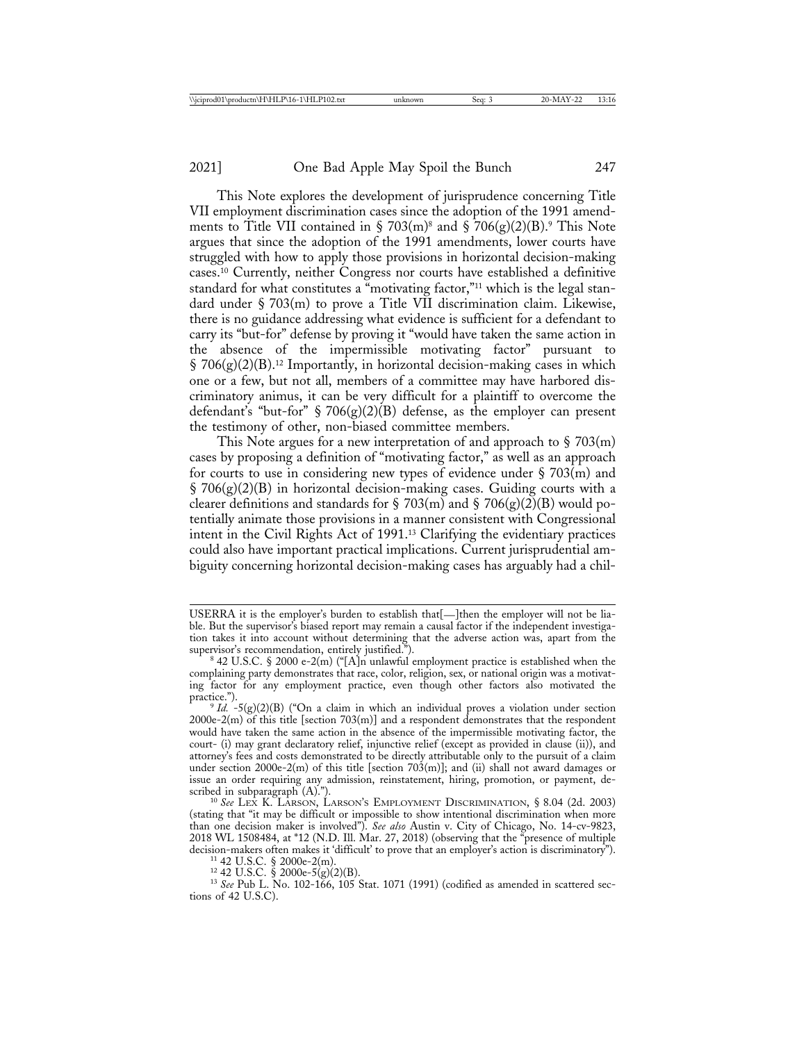This Note explores the development of jurisprudence concerning Title VII employment discrimination cases since the adoption of the 1991 amendments to Title VII contained in § 703(m)<sup>8</sup> and § 706(g)(2)(B).<sup>9</sup> This Note argues that since the adoption of the 1991 amendments, lower courts have struggled with how to apply those provisions in horizontal decision-making cases.10 Currently, neither Congress nor courts have established a definitive standard for what constitutes a "motivating factor,"<sup>11</sup> which is the legal standard under § 703(m) to prove a Title VII discrimination claim. Likewise, there is no guidance addressing what evidence is sufficient for a defendant to carry its "but-for" defense by proving it "would have taken the same action in the absence of the impermissible motivating factor" pursuant to  $\S 706(g)(2)(B).$ <sup>12</sup> Importantly, in horizontal decision-making cases in which one or a few, but not all, members of a committee may have harbored discriminatory animus, it can be very difficult for a plaintiff to overcome the defendant's "but-for" § 706(g)(2)(B) defense, as the employer can present the testimony of other, non-biased committee members.

This Note argues for a new interpretation of and approach to  $\S 703(m)$ cases by proposing a definition of "motivating factor," as well as an approach for courts to use in considering new types of evidence under  $\S 703(m)$  and  $\S$  706(g)(2)(B) in horizontal decision-making cases. Guiding courts with a clearer definitions and standards for § 703(m) and § 706(g)(2)(B) would potentially animate those provisions in a manner consistent with Congressional intent in the Civil Rights Act of 1991.13 Clarifying the evidentiary practices could also have important practical implications. Current jurisprudential ambiguity concerning horizontal decision-making cases has arguably had a chil-

<sup>11</sup> 42 U.S.C. § 2000e-2(m).<br><sup>12</sup> 42 U.S.C. § 2000e-5(g)(2)(B).<br><sup>13</sup> *See* Pub L. No. 102-166, 105 Stat. 1071 (1991) (codified as amended in scattered sections of 42 U.S.C).

USERRA it is the employer's burden to establish that[—]then the employer will not be liable. But the supervisor's biased report may remain a causal factor if the independent investigation takes it into account without determining that the adverse action was, apart from the supervisor's recommendation, entirely justified.").

 $842$  U.S.C. § 2000 e-2(m) ("[A]n unlawful employment practice is established when the complaining party demonstrates that race, color, religion, sex, or national origin was a motivating factor for any employment practice, even though other factors also motivated the

 $P<sup>9</sup> Id. -5(g)(2)(B)$  ("On a claim in which an individual proves a violation under section 2000e-2(m) of this title [section 703(m)] and a respondent demonstrates that the respondent would have taken the same action in the absence of the impermissible motivating factor, the court- (i) may grant declaratory relief, injunctive relief (except as provided in clause (ii)), and attorney's fees and costs demonstrated to be directly attributable only to the pursuit of a claim under section 2000e-2(m) of this title [section 703(m)]; and (ii) shall not award damages or issue an order requiring any admission, reinstatement, hiring, promotion, or payment, described in subparagraph (A).").<br><sup>10</sup> See LEX K. LARSON, LARSON'S EMPLOYMENT DISCRIMINATION, § 8.04 (2d. 2003)

<sup>(</sup>stating that "it may be difficult or impossible to show intentional discrimination when more than one decision maker is involved"). *See also* Austin v. City of Chicago, No. 14-cv-9823, 2018 WL 1508484, at \*12 (N.D. Ill. Mar. 27, 2018) (observing that the <sup>2</sup>presence of multiple decision-makers often makes it 'difficult' to prove that an employer's action is discriminatory").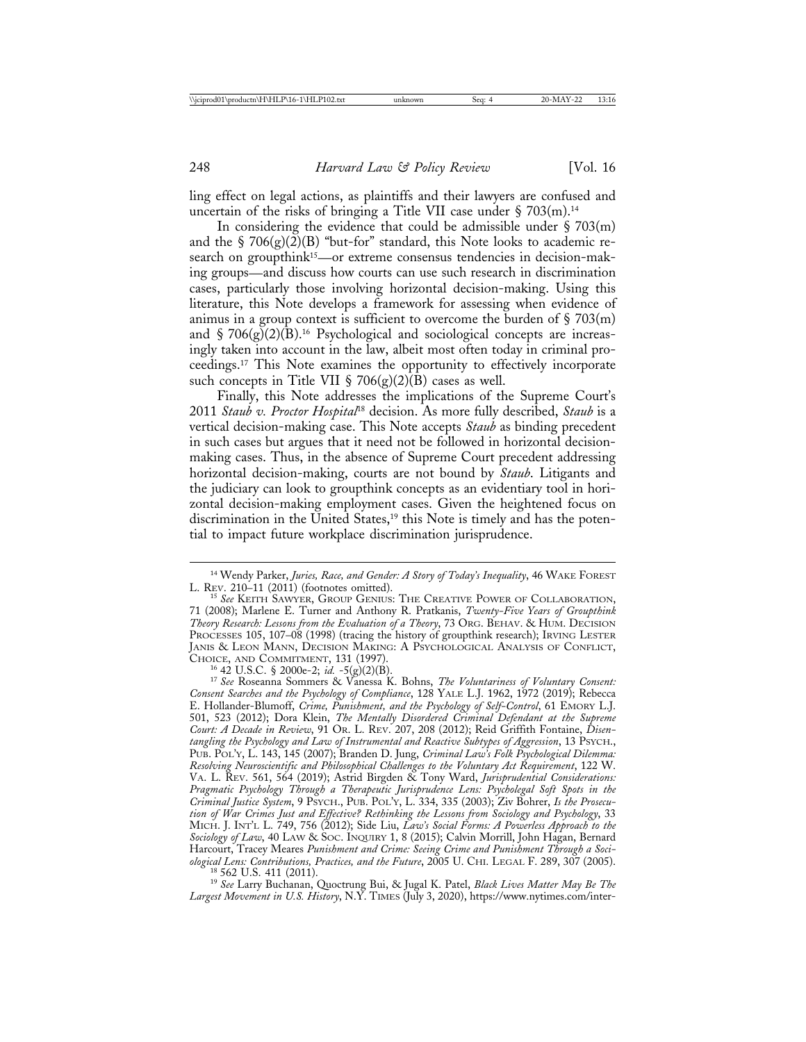ling effect on legal actions, as plaintiffs and their lawyers are confused and uncertain of the risks of bringing a Title VII case under  $\S 703(m).$ <sup>14</sup>

In considering the evidence that could be admissible under  $\S 703(m)$ and the  $\S 706(g)(2)(B)$  "but-for" standard, this Note looks to academic research on groupthink<sup>15</sup>—or extreme consensus tendencies in decision-making groups—and discuss how courts can use such research in discrimination cases, particularly those involving horizontal decision-making. Using this literature, this Note develops a framework for assessing when evidence of animus in a group context is sufficient to overcome the burden of  $\S 703(m)$ and  $\S 706(g)(2)(B)$ <sup>16</sup> Psychological and sociological concepts are increasingly taken into account in the law, albeit most often today in criminal proceedings.17 This Note examines the opportunity to effectively incorporate such concepts in Title VII § 706(g)(2)(B) cases as well.

Finally, this Note addresses the implications of the Supreme Court's 2011 *Staub v. Proctor Hospital*18 decision. As more fully described, *Staub* is a vertical decision-making case. This Note accepts *Staub* as binding precedent in such cases but argues that it need not be followed in horizontal decisionmaking cases. Thus, in the absence of Supreme Court precedent addressing horizontal decision-making, courts are not bound by *Staub*. Litigants and the judiciary can look to groupthink concepts as an evidentiary tool in horizontal decision-making employment cases. Given the heightened focus on discrimination in the United States,<sup>19</sup> this Note is timely and has the potential to impact future workplace discrimination jurisprudence.

CHOICE, AND COMMITMENT, 131 (1997). <sup>16</sup> 42 U.S.C. § 2000e-2; *id.* -5(g)(2)(B). <sup>17</sup> *See* Roseanna Sommers & Vanessa K. Bohns, *The Voluntariness of Voluntary Consent: Consent Searches and the Psychology of Compliance*, 128 YALE L.J. 1962, 1972 (2019); Rebecca E. Hollander-Blumoff, *Crime, Punishment, and the Psychology of Self-Control*, 61 EMORY L.J. 501, 523 (2012); Dora Klein, *The Mentally Disordered Criminal Defendant at the Supreme Court: A Decade in Review*, 91 OR. L. REV. 207, 208 (2012); Reid Griffith Fontaine, *Disentangling the Psychology and Law of Instrumental and Reactive Subtypes of Aggression*, 13 PSYCH., PUB. POL'Y, L. 143, 145 (2007); Branden D. Jung, *Criminal Law's Folk Psychological Dilemma: Resolving Neuroscientific and Philosophical Challenges to the Voluntary Act Requirement*, 122 W. VA. L. REV. 561, 564 (2019); Astrid Birgden & Tony Ward, *Jurisprudential Considerations: Pragmatic Psychology Through a Therapeutic Jurisprudence Lens: Psycholegal Soft Spots in the Criminal Justice System*, 9 PSYCH., PUB. POL'Y, L. 334, 335 (2003); Ziv Bohrer, *Is the Prosecution of War Crimes Just and Effective? Rethinking the Lessons from Sociology and Psychology*, 33 MICH. J. INT'L L. 749, 756 (2012); Side Liu, *Law's Social Forms: A Powerless Approach to the Sociology of Law*, 40 LAW & SOC. INQUIRY 1, 8 (2015); Calvin Morrill, John Hagan, Bernard Harcourt, Tracey Meares *Punishment and Crime: Seeing Crime and Punishment Through a Soci-ological Lens: Contributions, Practices, and the Future, 2005 U. CHI. LEGAL F. 289, 307 (2005).* ological Lens: Contributions, Practices, and the Future, 2005 U. CHI. LEGAL F. 289, 307 (2005).<br><sup>18</sup> 562 U.S. 411 (2011).<br><sup>19</sup> See Larry Buchanan, Quoctrung Bui, & Jugal K. Patel, *Black Lives Matter May Be The* 

*Largest Movement in U.S. History*, N.Y. TIMES (July 3, 2020), https://www.nytimes.com/inter-

<sup>&</sup>lt;sup>14</sup> Wendy Parker, *Juries, Race, and Gender: A Story of Today's Inequality*, 46 WAKE FOREST L. REV. 210–11 (2011) (footnotes omitted).

<sup>&</sup>lt;sup>15</sup> See KEITH SAWYER, GROUP GENIUS: THE CREATIVE POWER OF COLLABORATION, 71 (2008); Marlene E. Turner and Anthony R. Pratkanis, *Twenty-Five Years of Groupthink Theory Research: Lessons from the Evaluation of a Theory*, 73 ORG. BEHAV. & HUM. DECISION PROCESSES 105, 107-08 (1998) (tracing the history of groupthink research); IRVING LESTER JANIS & LEON MANN, DECISION MAKING: A PSYCHOLOGICAL ANALYSIS OF CONFLICT,<br>CHOICE, AND COMMITMENT, 131 (1997).<br><sup>16</sup> 42 U.S.C. § 2000e-2; *id.* -5(g)(2)(B).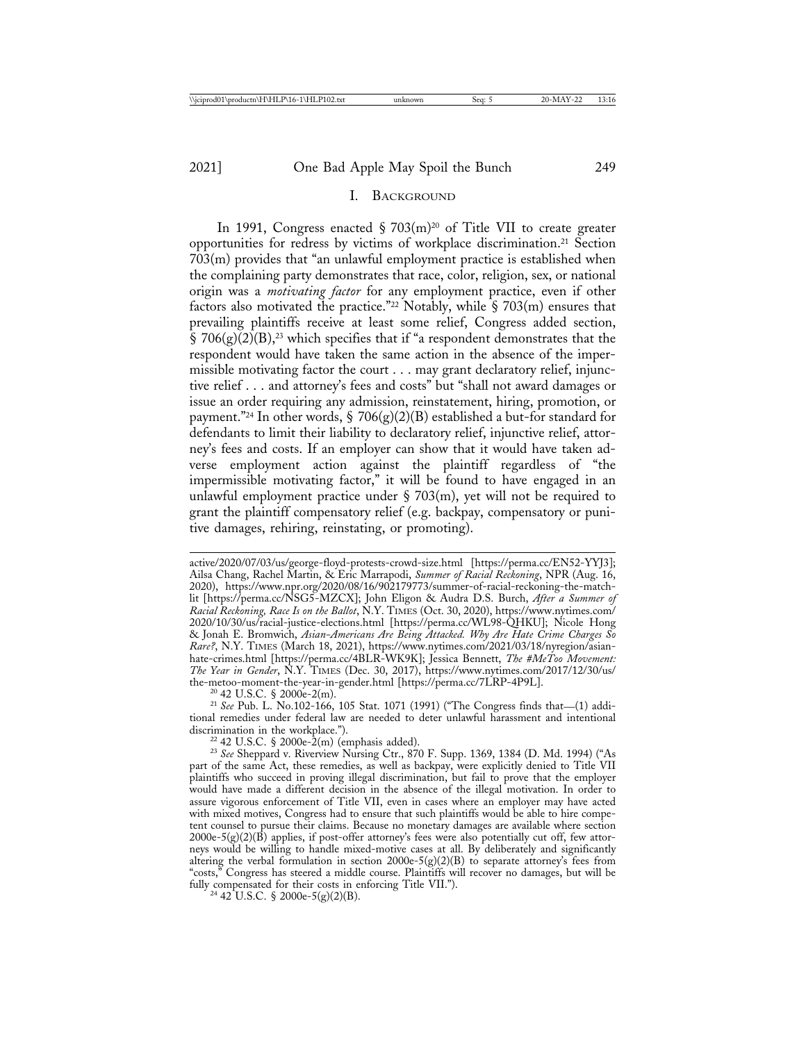#### I. BACKGROUND

In 1991, Congress enacted  $\S 703(m)^{20}$  of Title VII to create greater opportunities for redress by victims of workplace discrimination.21 Section 703(m) provides that "an unlawful employment practice is established when the complaining party demonstrates that race, color, religion, sex, or national origin was a *motivating factor* for any employment practice, even if other factors also motivated the practice."<sup>22</sup> Notably, while  $\S$  703(m) ensures that prevailing plaintiffs receive at least some relief, Congress added section, § 706(g) $\overline{(2)}$ (B),<sup>23</sup> which specifies that if "a respondent demonstrates that the respondent would have taken the same action in the absence of the impermissible motivating factor the court . . . may grant declaratory relief, injunctive relief . . . and attorney's fees and costs" but "shall not award damages or issue an order requiring any admission, reinstatement, hiring, promotion, or payment."<sup>24</sup> In other words,  $\S$  706(g)(2)(B) established a but-for standard for defendants to limit their liability to declaratory relief, injunctive relief, attorney's fees and costs. If an employer can show that it would have taken adverse employment action against the plaintiff regardless of "the impermissible motivating factor," it will be found to have engaged in an unlawful employment practice under  $\S$  703(m), yet will not be required to grant the plaintiff compensatory relief (e.g. backpay, compensatory or punitive damages, rehiring, reinstating, or promoting).

tional remedies under federal law are needed to deter unlawful harassment and intentional

<sup>22</sup> 42 U.S.C. § 2000e-2(m) (emphasis added).<br><sup>23</sup> *See* Sheppard v. Riverview Nursing Ctr., 870 F. Supp. 1369, 1384 (D. Md. 1994) ("As part of the same Act, these remedies, as well as backpay, were explicitly denied to Title VII plaintiffs who succeed in proving illegal discrimination, but fail to prove that the employer would have made a different decision in the absence of the illegal motivation. In order to assure vigorous enforcement of Title VII, even in cases where an employer may have acted with mixed motives, Congress had to ensure that such plaintiffs would be able to hire competent counsel to pursue their claims. Because no monetary damages are available where section 2000e-5(g)(2)(B) applies, if post-offer attorney's fees were also potentially cut off, few attorneys would be willing to handle mixed-motive cases at all. By deliberately and significantly altering the verbal formulation in section 2000e-5(g)(2)(B) to separate attorney's fees from "costs," Congress has steered a middle course. Plaintiffs will recover no damages, but will be Congress has steered a middle course. Plaintiffs will recover no damages, but will be fully compensated for their costs in enforcing Title VII."). <sup>24</sup> 42 U.S.C. § 2000e-5(g)(2)(B).

active/2020/07/03/us/george-floyd-protests-crowd-size.html [https://perma.cc/EN52-YYJ3]; Ailsa Chang, Rachel Martin, & Eric Marrapodi, *Summer of Racial Reckoning*, NPR (Aug. 16, 2020), https://www.npr.org/2020/08/16/902179773/summer-of-racial-reckoning-the-matchlit [https://perma.cc/NSG5-MZCX]; John Eligon & Audra D.S. Burch, *After a Summer of Racial Reckoning, Race Is on the Ballot*, N.Y. TIMES (Oct. 30, 2020), https://www.nytimes.com/ 2020/10/30/us/racial-justice-elections.html [https://perma.cc/WL98-QHKU]; Nicole Hong & Jonah E. Bromwich, *Asian-Americans Are Being Attacked. Why Are Hate Crime Charges So Rare?*, N.Y. TIMES (March 18, 2021), https://www.nytimes.com/2021/03/18/nyregion/asianhate-crimes.html [https://perma.cc/4BLR-WK9K]; Jessica Bennett, *The #MeToo Movement: The Year in Gender*, N.Y. TIMES (Dec. 30, 2017), https://www.nytimes.com/2017/12/30/us/ the-metoo-moment-the-year-in-gender.html [https://perma.cc/7LRP-4P9L].<br><sup>20</sup> 42 U.S.C. § 2000e-2(m).<br><sup>21</sup> *See* Pub. L. No.102-166, 105 Stat. 1071 (1991) ("The Congress finds that—(1) addi-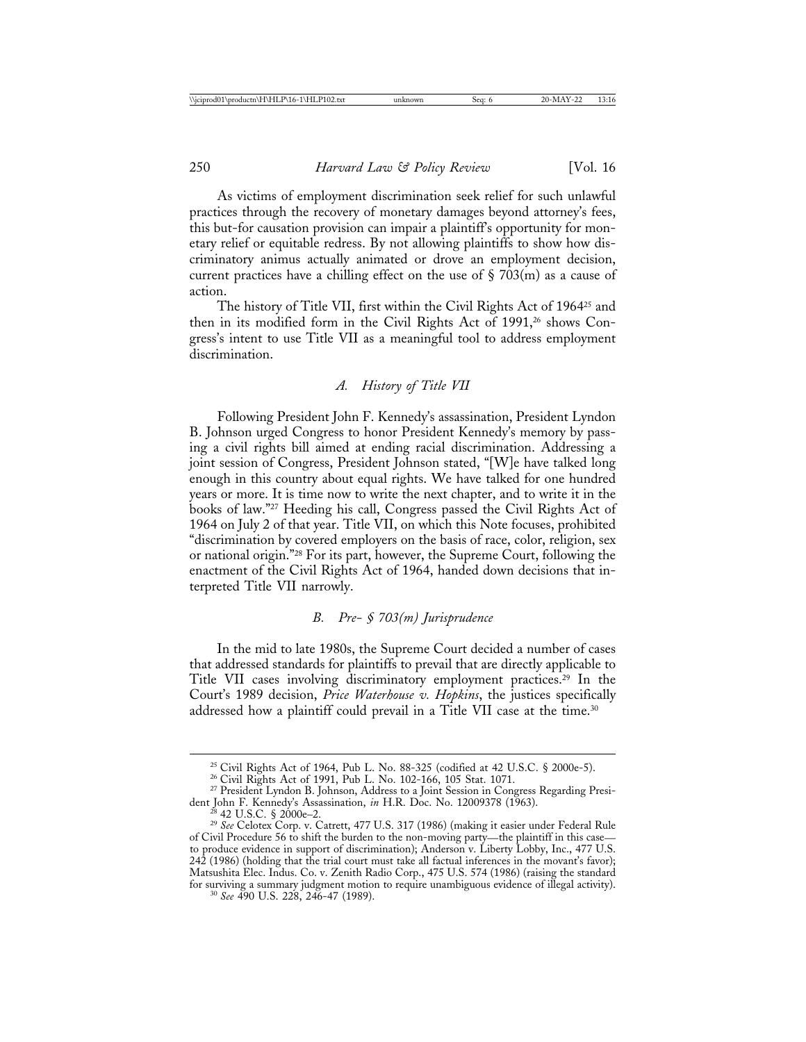As victims of employment discrimination seek relief for such unlawful practices through the recovery of monetary damages beyond attorney's fees, this but-for causation provision can impair a plaintiff's opportunity for monetary relief or equitable redress. By not allowing plaintiffs to show how discriminatory animus actually animated or drove an employment decision, current practices have a chilling effect on the use of  $\S 703(m)$  as a cause of action.

The history of Title VII, first within the Civil Rights Act of 196425 and then in its modified form in the Civil Rights Act of 1991,<sup>26</sup> shows Congress's intent to use Title VII as a meaningful tool to address employment discrimination.

# *A. History of Title VII*

Following President John F. Kennedy's assassination, President Lyndon B. Johnson urged Congress to honor President Kennedy's memory by passing a civil rights bill aimed at ending racial discrimination. Addressing a joint session of Congress, President Johnson stated, "[W]e have talked long enough in this country about equal rights. We have talked for one hundred years or more. It is time now to write the next chapter, and to write it in the books of law."27 Heeding his call, Congress passed the Civil Rights Act of 1964 on July 2 of that year. Title VII, on which this Note focuses, prohibited "discrimination by covered employers on the basis of race, color, religion, sex or national origin."28 For its part, however, the Supreme Court, following the enactment of the Civil Rights Act of 1964, handed down decisions that interpreted Title VII narrowly.

#### *B. Pre- § 703(m) Jurisprudence*

In the mid to late 1980s, the Supreme Court decided a number of cases that addressed standards for plaintiffs to prevail that are directly applicable to Title VII cases involving discriminatory employment practices.29 In the Court's 1989 decision, *Price Waterhouse v. Hopkins*, the justices specifically addressed how a plaintiff could prevail in a Title VII case at the time.<sup>30</sup>

<sup>&</sup>lt;sup>25</sup> Civil Rights Act of 1964, Pub L. No. 88-325 (codified at 42 U.S.C. § 2000e-5).<br><sup>26</sup> Civil Rights Act of 1991, Pub L. No. 102-166, 105 Stat. 1071.<br><sup>27</sup> President Lyndon B. Johnson, Address to a Joint Session in Congre

dent John F. Kennedy's Assassination, *in* H.R. Doc. No. 12009378 (1963).<br><sup>28</sup> 42 U.S.C. § 2000e–2.<br><sup>29</sup> *See* Celotex Corp. v. Catrett, 477 U.S. 317 (1986) (making it easier under Federal Rule of Civil Procedure 56 to shift the burden to the non-moving party—the plaintiff in this case to produce evidence in support of discrimination); Anderson v. Liberty Lobby, Inc., 477 U.S.  $242$  (1986) (holding that the trial court must take all factual inferences in the movant's favor); Matsushita Elec. Indus. Co. v. Zenith Radio Corp., 475 U.S. 574 (1986) (raising the standard for surviving a summary judgment motion to require unambiguous evidence of illegal activity). <sup>30</sup> *See* 490 U.S. 228, 246-47 (1989).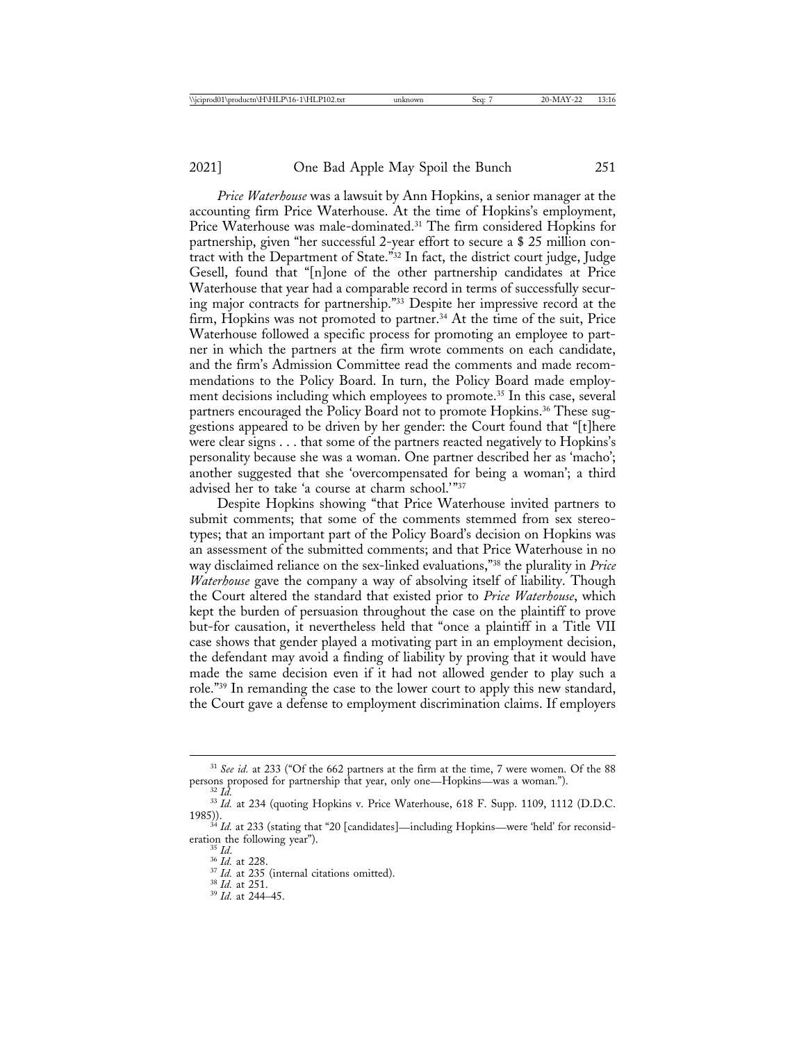*Price Waterhouse* was a lawsuit by Ann Hopkins, a senior manager at the accounting firm Price Waterhouse. At the time of Hopkins's employment, Price Waterhouse was male-dominated.<sup>31</sup> The firm considered Hopkins for partnership, given "her successful 2-year effort to secure a \$ 25 million contract with the Department of State."32 In fact, the district court judge, Judge Gesell, found that "[n]one of the other partnership candidates at Price Waterhouse that year had a comparable record in terms of successfully securing major contracts for partnership."33 Despite her impressive record at the firm, Hopkins was not promoted to partner.<sup>34</sup> At the time of the suit, Price Waterhouse followed a specific process for promoting an employee to partner in which the partners at the firm wrote comments on each candidate, and the firm's Admission Committee read the comments and made recommendations to the Policy Board. In turn, the Policy Board made employment decisions including which employees to promote.<sup>35</sup> In this case, several partners encouraged the Policy Board not to promote Hopkins.<sup>36</sup> These suggestions appeared to be driven by her gender: the Court found that "[t]here were clear signs . . . that some of the partners reacted negatively to Hopkins's personality because she was a woman. One partner described her as 'macho'; another suggested that she 'overcompensated for being a woman'; a third advised her to take 'a course at charm school.'"37

Despite Hopkins showing "that Price Waterhouse invited partners to submit comments; that some of the comments stemmed from sex stereotypes; that an important part of the Policy Board's decision on Hopkins was an assessment of the submitted comments; and that Price Waterhouse in no way disclaimed reliance on the sex-linked evaluations,"38 the plurality in *Price Waterhouse* gave the company a way of absolving itself of liability. Though the Court altered the standard that existed prior to *Price Waterhouse*, which kept the burden of persuasion throughout the case on the plaintiff to prove but-for causation, it nevertheless held that "once a plaintiff in a Title VII case shows that gender played a motivating part in an employment decision, the defendant may avoid a finding of liability by proving that it would have made the same decision even if it had not allowed gender to play such a role."39 In remanding the case to the lower court to apply this new standard, the Court gave a defense to employment discrimination claims. If employers

- 
- 

 $31$  *See id.* at 233 ("Of the 662 partners at the firm at the time, 7 were women. Of the 88 persons proposed for partnership that year, only one—Hopkins—was a woman.").

 $\frac{32 \text{ I} \dot{d}}{33 \text{ I} d}$ . at 234 (quoting Hopkins v. Price Waterhouse, 618 F. Supp. 1109, 1112 (D.D.C. 1985)).

 $34$  *Id.* at 233 (stating that "20 [candidates]—including Hopkins—were 'held' for reconsideration the following year").

<sup>&</sup>lt;sup>35</sup> *Id.* 36 *Id.* at 228. <sup>37</sup> *Id.* at 228. <sup>37</sup> *Id.* at 235 (internal citations omitted). <sup>38</sup> *Id.* at 244–45.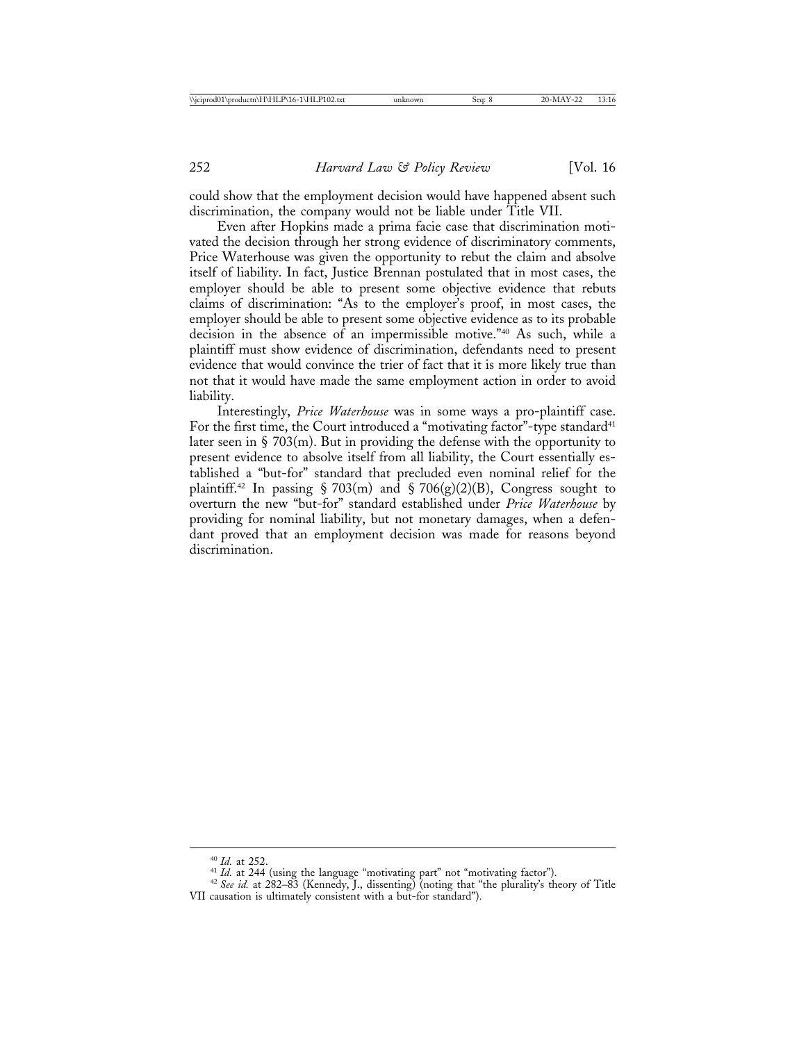could show that the employment decision would have happened absent such discrimination, the company would not be liable under Title VII.

Even after Hopkins made a prima facie case that discrimination motivated the decision through her strong evidence of discriminatory comments, Price Waterhouse was given the opportunity to rebut the claim and absolve itself of liability. In fact, Justice Brennan postulated that in most cases, the employer should be able to present some objective evidence that rebuts claims of discrimination: "As to the employer's proof, in most cases, the employer should be able to present some objective evidence as to its probable decision in the absence of an impermissible motive."40 As such, while a plaintiff must show evidence of discrimination, defendants need to present evidence that would convince the trier of fact that it is more likely true than not that it would have made the same employment action in order to avoid liability.

Interestingly, *Price Waterhouse* was in some ways a pro-plaintiff case. For the first time, the Court introduced a "motivating factor"-type standard<sup>41</sup> later seen in  $\S 703(m)$ . But in providing the defense with the opportunity to present evidence to absolve itself from all liability, the Court essentially established a "but-for" standard that precluded even nominal relief for the plaintiff.<sup>42</sup> In passing § 703(m) and § 706(g)(2)(B), Congress sought to overturn the new "but-for" standard established under *Price Waterhouse* by providing for nominal liability, but not monetary damages, when a defendant proved that an employment decision was made for reasons beyond discrimination.

<sup>40</sup> *Id.* at 252. <sup>41</sup> *Id.* at 244 (using the language "motivating part" not "motivating factor"). <sup>42</sup> *See id.* at 282–83 (Kennedy, J., dissenting) (noting that "the plurality's theory of Title VII causation is ultimately consistent with a but-for standard").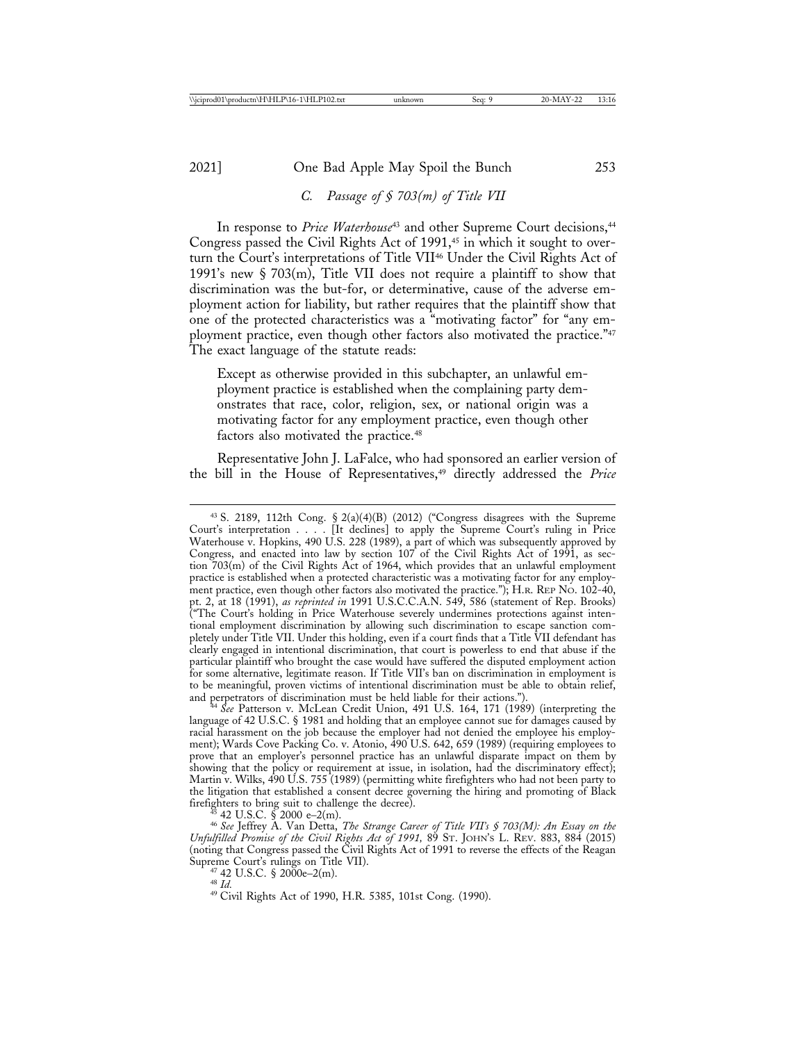# *C. Passage of § 703(m) of Title VII*

In response to *Price Waterhouse*<sup>43</sup> and other Supreme Court decisions,<sup>44</sup> Congress passed the Civil Rights Act of  $1991,45$  in which it sought to overturn the Court's interpretations of Title VII46 Under the Civil Rights Act of 1991's new § 703(m), Title VII does not require a plaintiff to show that discrimination was the but-for, or determinative, cause of the adverse employment action for liability, but rather requires that the plaintiff show that one of the protected characteristics was a "motivating factor" for "any employment practice, even though other factors also motivated the practice."<sup>47</sup> The exact language of the statute reads:

Except as otherwise provided in this subchapter, an unlawful employment practice is established when the complaining party demonstrates that race, color, religion, sex, or national origin was a motivating factor for any employment practice, even though other factors also motivated the practice.<sup>48</sup>

Representative John J. LaFalce, who had sponsored an earlier version of the bill in the House of Representatives,49 directly addressed the *Price*

<sup>43</sup> S. 2189, 112th Cong. § 2(a)(4)(B) (2012) ("Congress disagrees with the Supreme Court's interpretation . . . . [It declines] to apply the Supreme Court's ruling in Price Waterhouse v. Hopkins, 490 U.S. 228 (1989), a part of which was subsequently approved by Congress, and enacted into law by section 107 of the Civil Rights Act of 1991, as section 703(m) of the Civil Rights Act of 1964, which provides that an unlawful employment practice is established when a protected characteristic was a motivating factor for any employment practice, even though other factors also motivated the practice."); H.R. REP NO. 102-40, pt. 2, at 18 (1991), *as reprinted in* 1991 U.S.C.C.A.N. 549, 586 (statement of Rep. Brooks) ("The Court's holding in Price Waterhouse severely undermines protections against intentional employment discrimination by allowing such discrimination to escape sanction completely under Title VII. Under this holding, even if a court finds that a Title VII defendant has clearly engaged in intentional discrimination, that court is powerless to end that abuse if the particular plaintiff who brought the case would have suffered the disputed employment action for some alternative, legitimate reason. If Title VII's ban on discrimination in employment is to be meaningful, proven victims of intentional discrimination must be able to obtain relief, and perpetrators of discrimination must be held liable for their actions.").

<sup>&</sup>lt;sup>4</sup> See Patterson v. McLean Credit Union, 491 U.S. 164, 171 (1989) (interpreting the language of 42 U.S.C. § 1981 and holding that an employee cannot sue for damages caused by racial harassment on the job because the employer had not denied the employee his employment); Wards Cove Packing Co. v. Atonio, 490 U.S. 642, 659 (1989) (requiring employees to prove that an employer's personnel practice has an unlawful disparate impact on them by showing that the policy or requirement at issue, in isolation, had the discriminatory effect); Martin v. Wilks, 490 U.S. 755 (1989) (permitting white firefighters who had not been party to the litigation that established a consent decree governing the hiring and promoting of Black<br>firefighters to bring suit to challenge the decree). firefighters to bring suit to challenge the decree). <sup>45</sup> 42 U.S.C. § 2000 e–2(m). <sup>46</sup> *See* Jeffrey A. Van Detta, *The Strange Career of Title VII's § 703(M): An Essay on the*

*Unfulfilled Promise of the Civil Rights Act of 1991,* 89 ST. JOHN'S L. REV. 883, 884 (2015) (noting that Congress passed the Civil Rights Act of 1991 to reverse the effects of the Reagan Supreme Court's rulings on Title VII).<br>
<sup>47</sup> 42 U.S.C. § 2000e–2(m).<br>
<sup>49</sup> Civil Rights Act of 1990, H.R. 5385, 101st Cong. (1990).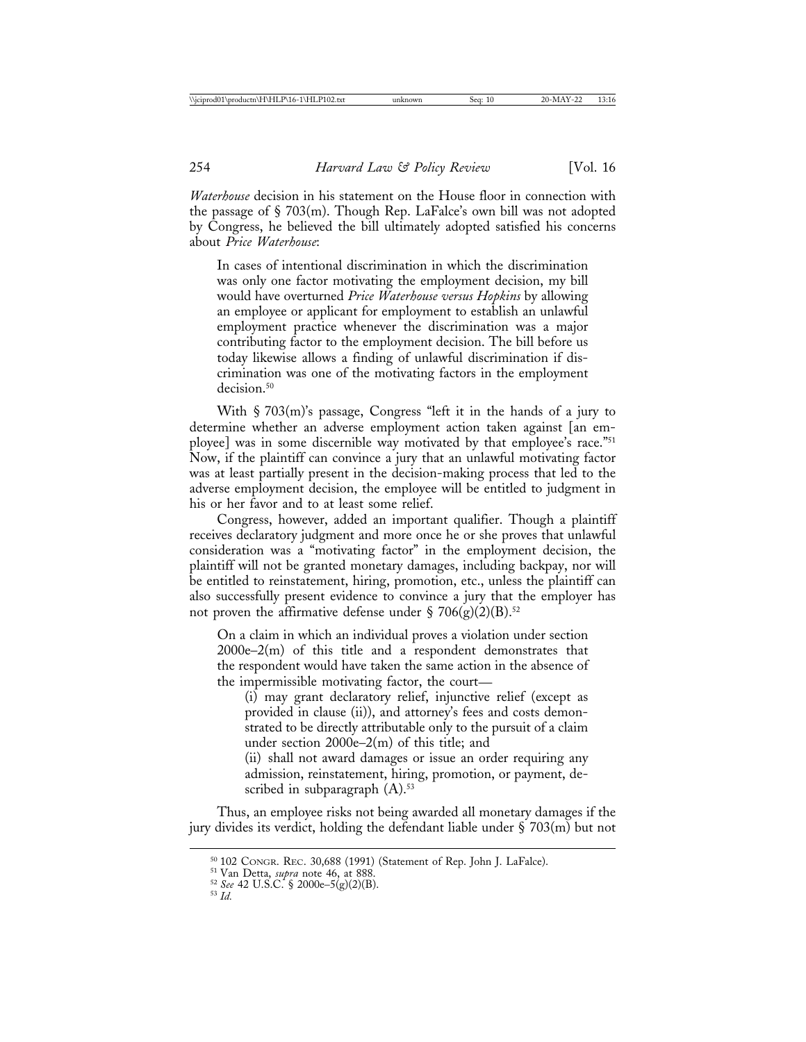*Waterhouse* decision in his statement on the House floor in connection with the passage of § 703(m). Though Rep. LaFalce's own bill was not adopted by Congress, he believed the bill ultimately adopted satisfied his concerns about *Price Waterhouse*:

In cases of intentional discrimination in which the discrimination was only one factor motivating the employment decision, my bill would have overturned *Price Waterhouse versus Hopkins* by allowing an employee or applicant for employment to establish an unlawful employment practice whenever the discrimination was a major contributing factor to the employment decision. The bill before us today likewise allows a finding of unlawful discrimination if discrimination was one of the motivating factors in the employment decision.<sup>50</sup>

With § 703(m)'s passage, Congress "left it in the hands of a jury to determine whether an adverse employment action taken against [an employee] was in some discernible way motivated by that employee's race."51 Now, if the plaintiff can convince a jury that an unlawful motivating factor was at least partially present in the decision-making process that led to the adverse employment decision, the employee will be entitled to judgment in his or her favor and to at least some relief.

Congress, however, added an important qualifier. Though a plaintiff receives declaratory judgment and more once he or she proves that unlawful consideration was a "motivating factor" in the employment decision, the plaintiff will not be granted monetary damages, including backpay, nor will be entitled to reinstatement, hiring, promotion, etc., unless the plaintiff can also successfully present evidence to convince a jury that the employer has not proven the affirmative defense under § 706(g)(2)(B).<sup>52</sup>

On a claim in which an individual proves a violation under section 2000e–2(m) of this title and a respondent demonstrates that the respondent would have taken the same action in the absence of the impermissible motivating factor, the court—

(i) may grant declaratory relief, injunctive relief (except as provided in clause (ii)), and attorney's fees and costs demonstrated to be directly attributable only to the pursuit of a claim under section 2000e–2(m) of this title; and

(ii) shall not award damages or issue an order requiring any admission, reinstatement, hiring, promotion, or payment, described in subparagraph  $(A)$ .<sup>53</sup>

Thus, an employee risks not being awarded all monetary damages if the jury divides its verdict, holding the defendant liable under § 703(m) but not

<sup>50</sup> 102 CONGR. REC. 30,688 (1991) (Statement of Rep. John J. LaFalce). <sup>51</sup> Van Detta, *supra* note 46, at 888. <sup>52</sup> *See* 42 U.S.C. § 2000e–5(g)(2)(B). <sup>53</sup> *Id.*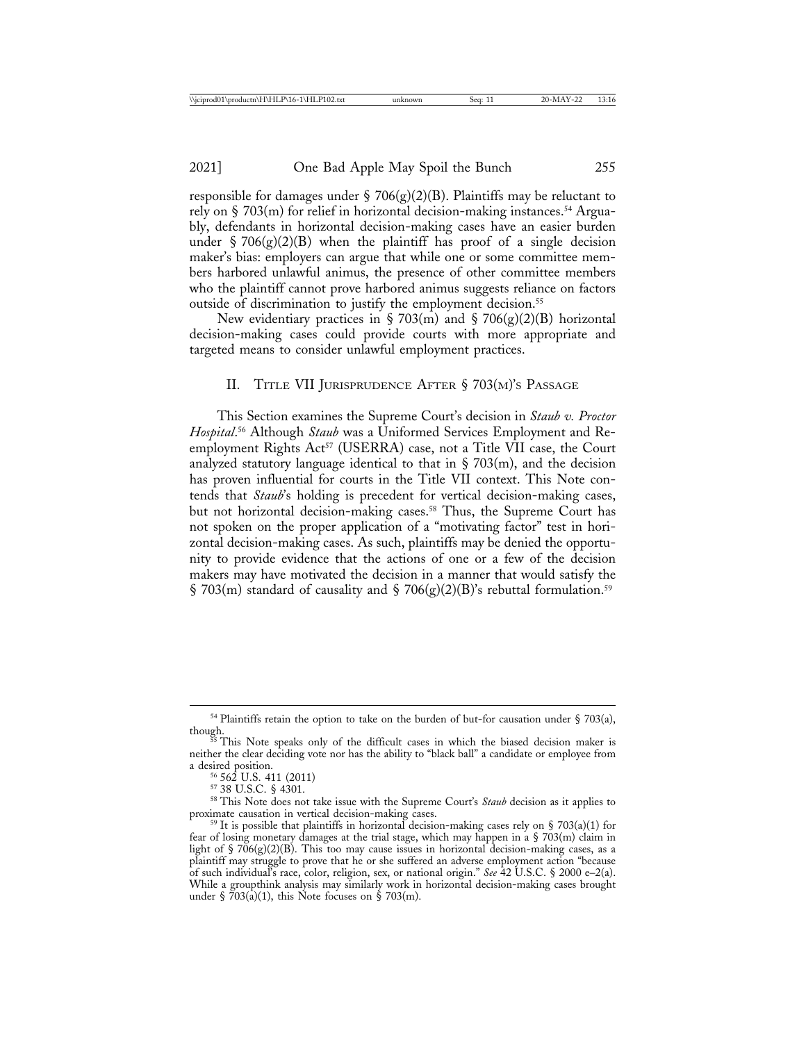responsible for damages under § 706(g)(2)(B). Plaintiffs may be reluctant to rely on  $\S$  703(m) for relief in horizontal decision-making instances.<sup>54</sup> Arguably, defendants in horizontal decision-making cases have an easier burden under  $\frac{1}{2}$  706(g)(2)(B) when the plaintiff has proof of a single decision maker's bias: employers can argue that while one or some committee members harbored unlawful animus, the presence of other committee members who the plaintiff cannot prove harbored animus suggests reliance on factors outside of discrimination to justify the employment decision.<sup>55</sup>

New evidentiary practices in  $\S 703(m)$  and  $\S 706(g)(2)(B)$  horizontal decision-making cases could provide courts with more appropriate and targeted means to consider unlawful employment practices.

#### II. TITLE VII JURISPRUDENCE AFTER § 703(M)'S PASSAGE

This Section examines the Supreme Court's decision in *Staub v. Proctor Hospital*. 56 Although *Staub* was a Uniformed Services Employment and Reemployment Rights Act<sup>57</sup> (USERRA) case, not a Title VII case, the Court analyzed statutory language identical to that in  $\S$  703(m), and the decision has proven influential for courts in the Title VII context. This Note contends that *Staub*'s holding is precedent for vertical decision-making cases, but not horizontal decision-making cases.<sup>58</sup> Thus, the Supreme Court has not spoken on the proper application of a "motivating factor" test in horizontal decision-making cases. As such, plaintiffs may be denied the opportunity to provide evidence that the actions of one or a few of the decision makers may have motivated the decision in a manner that would satisfy the  $\S$  703(m) standard of causality and  $\S$  706(g)(2)(B)'s rebuttal formulation.<sup>59</sup>

 $^{54}$  Plaintiffs retain the option to take on the burden of but-for causation under § 703(a), though.

This Note speaks only of the difficult cases in which the biased decision maker is neither the clear deciding vote nor has the ability to "black ball" a candidate or employee from

a desired position. 56 562 U.S. 411 (2011)<br>
<sup>57</sup> 38 U.S.C. § 4301.<br>
<sup>58</sup> This Note does not take issue with the Supreme Court's *Staub* decision as it applies to<br>
proximate causation in vertical decision-making cases.

 $59$  It is possible that plaintiffs in horizontal decision-making cases rely on § 703(a)(1) for fear of losing monetary damages at the trial stage, which may happen in a  $\S 703(m)$  claim in light of  $\frac{1}{2}$  706(g)(2)(B). This too may cause issues in horizontal decision-making cases, as a plaintiff may struggle to prove that he or she suffered an adverse employment action "because of such individual's race, color, religion, sex, or national origin." *See* 42 U.S.C. § 2000 e–2(a). While a groupthink analysis may similarly work in horizontal decision-making cases brought under §  $703(a)(1)$ , this Note focuses on § 703(m).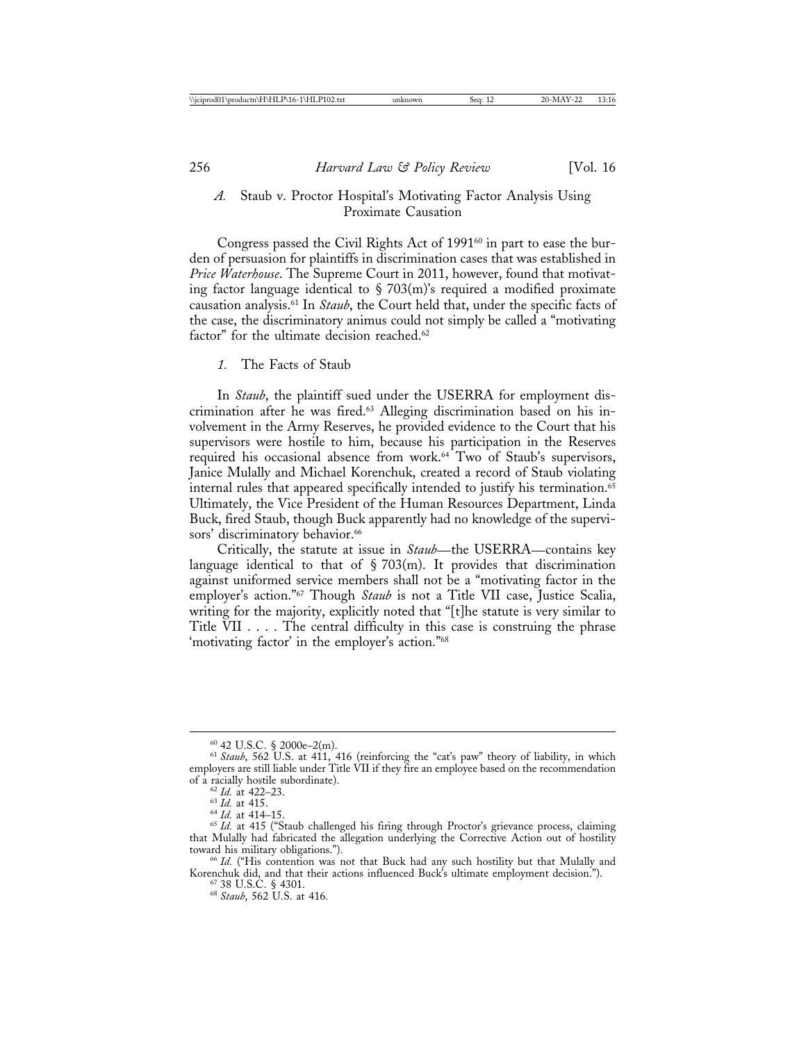#### *A.* Staub v. Proctor Hospital's Motivating Factor Analysis Using Proximate Causation

Congress passed the Civil Rights Act of 1991<sup>60</sup> in part to ease the burden of persuasion for plaintiffs in discrimination cases that was established in *Price Waterhouse*. The Supreme Court in 2011, however, found that motivating factor language identical to  $\S$  703(m)'s required a modified proximate causation analysis.61 In *Staub*, the Court held that, under the specific facts of the case, the discriminatory animus could not simply be called a "motivating factor" for the ultimate decision reached.<sup>62</sup>

#### *1.* The Facts of Staub

In *Staub*, the plaintiff sued under the USERRA for employment discrimination after he was fired.<sup>63</sup> Alleging discrimination based on his involvement in the Army Reserves, he provided evidence to the Court that his supervisors were hostile to him, because his participation in the Reserves required his occasional absence from work.<sup>64</sup> Two of Staub's supervisors, Janice Mulally and Michael Korenchuk, created a record of Staub violating internal rules that appeared specifically intended to justify his termination.<sup>65</sup> Ultimately, the Vice President of the Human Resources Department, Linda Buck, fired Staub, though Buck apparently had no knowledge of the supervisors' discriminatory behavior.<sup>66</sup>

Critically, the statute at issue in *Staub*—the USERRA—contains key language identical to that of  $\S 703(m)$ . It provides that discrimination against uniformed service members shall not be a "motivating factor in the employer's action."67 Though *Staub* is not a Title VII case, Justice Scalia, writing for the majority, explicitly noted that "[t]he statute is very similar to Title VII . . . . The central difficulty in this case is construing the phrase 'motivating factor' in the employer's action."68

<sup>60</sup> 42 U.S.C. § 2000e–2(m). <sup>61</sup> *Staub*, 562 U.S. at 411, 416 (reinforcing the "cat's paw" theory of liability, in which employers are still liable under Title VII if they fire an employee based on the recommendation of a racially hostile subordinate).

<sup>&</sup>lt;sup>62</sup> *Id.* at 422–23.<br><sup>63</sup> *Id.* at 415.<br><sup>64</sup> *Id.* at 414–15. 64 *Id.* at 415 ("Staub challenged his firing through Proctor's grievance process, claiming that Mulally had fabricated the allegation underlying the Corrective Action out of hostility toward his military obligations.").

<sup>&</sup>lt;sup>66</sup> Id. ("His contention was not that Buck had any such hostility but that Mulally and Korenchuk did, and that their actions influenced Buck's ultimate employment decision."). <sup>67</sup> 38 U.S.C. § 4301. <sup>68</sup> *Staub*, 562 U.S. at 416.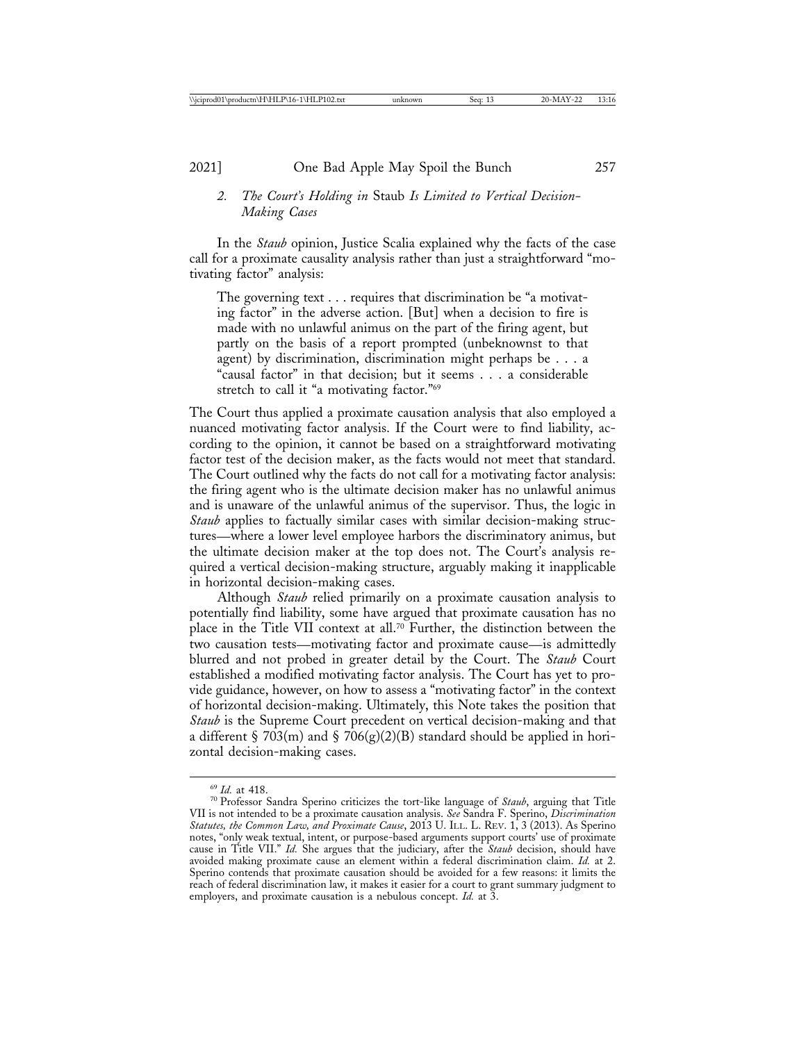# *2. The Court's Holding in* Staub *Is Limited to Vertical Decision-Making Cases*

In the *Staub* opinion, Justice Scalia explained why the facts of the case call for a proximate causality analysis rather than just a straightforward "motivating factor" analysis:

The governing text . . . requires that discrimination be "a motivating factor" in the adverse action. [But] when a decision to fire is made with no unlawful animus on the part of the firing agent, but partly on the basis of a report prompted (unbeknownst to that agent) by discrimination, discrimination might perhaps be . . . a "causal factor" in that decision; but it seems . . . a considerable stretch to call it "a motivating factor."69

The Court thus applied a proximate causation analysis that also employed a nuanced motivating factor analysis. If the Court were to find liability, according to the opinion, it cannot be based on a straightforward motivating factor test of the decision maker, as the facts would not meet that standard. The Court outlined why the facts do not call for a motivating factor analysis: the firing agent who is the ultimate decision maker has no unlawful animus and is unaware of the unlawful animus of the supervisor. Thus, the logic in *Staub* applies to factually similar cases with similar decision-making structures—where a lower level employee harbors the discriminatory animus, but the ultimate decision maker at the top does not. The Court's analysis required a vertical decision-making structure, arguably making it inapplicable in horizontal decision-making cases.

Although *Staub* relied primarily on a proximate causation analysis to potentially find liability, some have argued that proximate causation has no place in the Title VII context at all.70 Further, the distinction between the two causation tests—motivating factor and proximate cause—is admittedly blurred and not probed in greater detail by the Court. The *Staub* Court established a modified motivating factor analysis. The Court has yet to provide guidance, however, on how to assess a "motivating factor" in the context of horizontal decision-making. Ultimately, this Note takes the position that *Staub* is the Supreme Court precedent on vertical decision-making and that a different § 703(m) and § 706(g)(2)(B) standard should be applied in horizontal decision-making cases.

<sup>69</sup> *Id.* at 418. <sup>70</sup> Professor Sandra Sperino criticizes the tort-like language of *Staub*, arguing that Title VII is not intended to be a proximate causation analysis. *See* Sandra F. Sperino, *Discrimination Statutes, the Common Law, and Proximate Cause*, 2013 U. ILL. L. REV. 1, 3 (2013). As Sperino notes, "only weak textual, intent, or purpose-based arguments support courts' use of proximate cause in Title VII." *Id.* She argues that the judiciary, after the *Staub* decision, should have avoided making proximate cause an element within a federal discrimination claim. *Id.* at 2. Sperino contends that proximate causation should be avoided for a few reasons: it limits the reach of federal discrimination law, it makes it easier for a court to grant summary judgment to employers, and proximate causation is a nebulous concept. *Id.* at 3.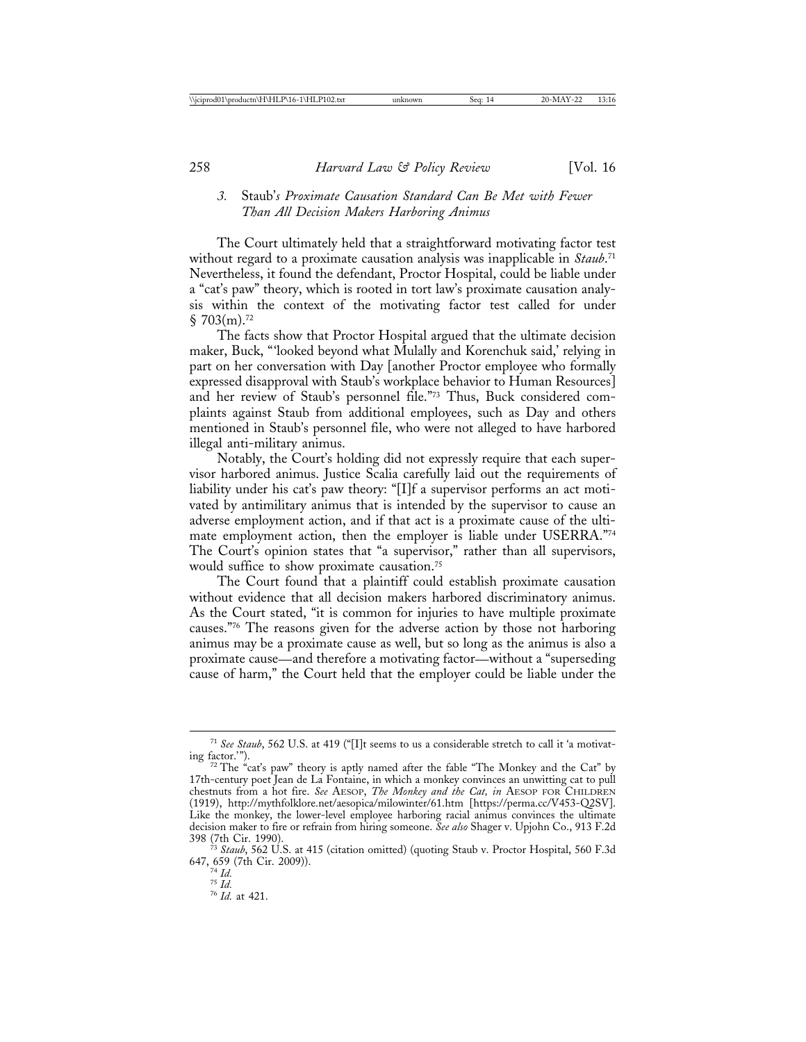# *3.* Staub'*s Proximate Causation Standard Can Be Met with Fewer Than All Decision Makers Harboring Animus*

The Court ultimately held that a straightforward motivating factor test without regard to a proximate causation analysis was inapplicable in *Staub*. 71 Nevertheless, it found the defendant, Proctor Hospital, could be liable under a "cat's paw" theory, which is rooted in tort law's proximate causation analysis within the context of the motivating factor test called for under  $\S$  703(m).<sup>72</sup>

The facts show that Proctor Hospital argued that the ultimate decision maker, Buck, "'looked beyond what Mulally and Korenchuk said,' relying in part on her conversation with Day [another Proctor employee who formally expressed disapproval with Staub's workplace behavior to Human Resources] and her review of Staub's personnel file."73 Thus, Buck considered complaints against Staub from additional employees, such as Day and others mentioned in Staub's personnel file, who were not alleged to have harbored illegal anti-military animus.

Notably, the Court's holding did not expressly require that each supervisor harbored animus. Justice Scalia carefully laid out the requirements of liability under his cat's paw theory: "[I]f a supervisor performs an act motivated by antimilitary animus that is intended by the supervisor to cause an adverse employment action, and if that act is a proximate cause of the ultimate employment action, then the employer is liable under USERRA."74 The Court's opinion states that "a supervisor," rather than all supervisors, would suffice to show proximate causation.75

The Court found that a plaintiff could establish proximate causation without evidence that all decision makers harbored discriminatory animus. As the Court stated, "it is common for injuries to have multiple proximate causes."76 The reasons given for the adverse action by those not harboring animus may be a proximate cause as well, but so long as the animus is also a proximate cause—and therefore a motivating factor—without a "superseding cause of harm," the Court held that the employer could be liable under the

<sup>&</sup>lt;sup>71</sup> See Staub, 562 U.S. at 419 ("[I]t seems to us a considerable stretch to call it 'a motivating factor.'").

<sup>&</sup>lt;sup>2</sup> The "cat's paw" theory is aptly named after the fable "The Monkey and the Cat" by 17th-century poet Jean de La Fontaine, in which a monkey convinces an unwitting cat to pull chestnuts from a hot fire. *See* AESOP, *The Monkey and the Cat, in* AESOP FOR CHILDREN (1919), http://mythfolklore.net/aesopica/milowinter/61.htm [https://perma.cc/V453-Q2SV]. Like the monkey, the lower-level employee harboring racial animus convinces the ultimate decision maker to fire or refrain from hiring someone. *See also* Shager v. Upjohn Co., 913 F.2d 398 (7th Cir. 1990). <sup>73</sup> *Staub*, 562 U.S. at 415 (citation omitted) (quoting Staub v. Proctor Hospital, 560 F.3d

<sup>647, 659 (7</sup>th Cir. 2009)). <sup>74</sup> *Id.* <sup>75</sup> *Id.* <sup>76</sup> *Id.* at 421.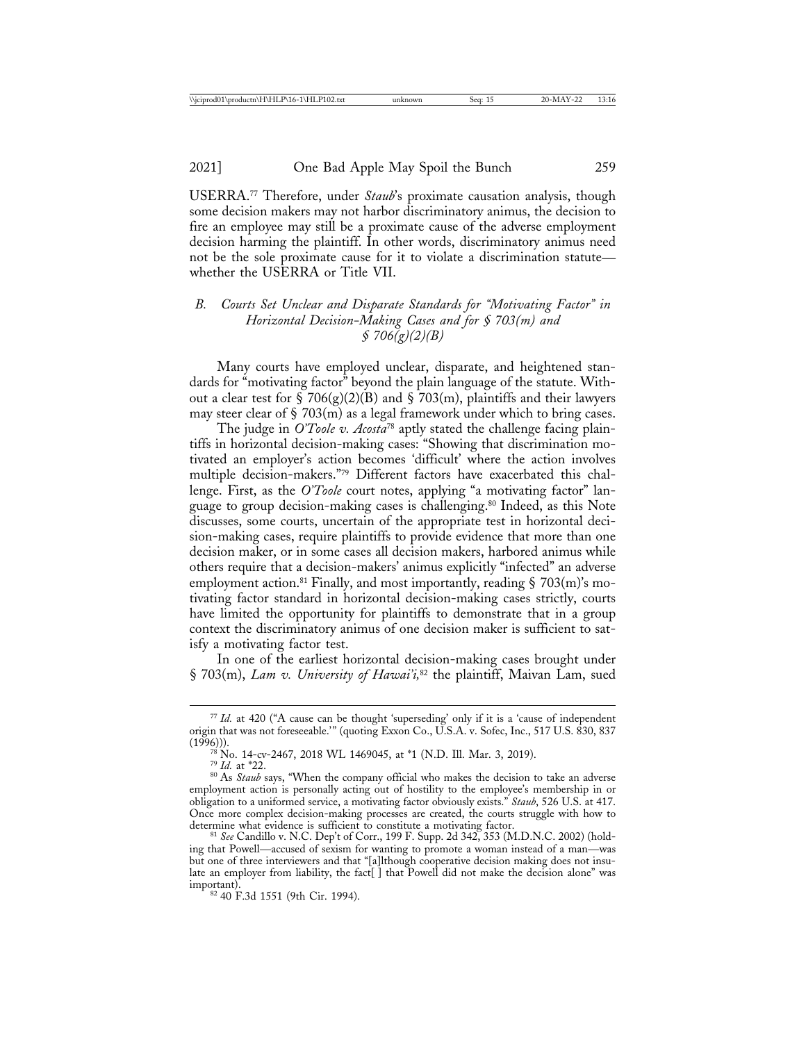USERRA.77 Therefore, under *Staub*'s proximate causation analysis, though some decision makers may not harbor discriminatory animus, the decision to fire an employee may still be a proximate cause of the adverse employment decision harming the plaintiff. In other words, discriminatory animus need not be the sole proximate cause for it to violate a discrimination statute whether the USERRA or Title VII.

# *B. Courts Set Unclear and Disparate Standards for "Motivating Factor" in Horizontal Decision-Making Cases and for § 703(m) and § 706(g)(2)(B)*

Many courts have employed unclear, disparate, and heightened standards for "motivating factor" beyond the plain language of the statute. Without a clear test for  $\S 706(g)(2)(B)$  and  $\S 703(m)$ , plaintiffs and their lawyers may steer clear of  $\S$  703(m) as a legal framework under which to bring cases.

The judge in *O'Toole v. Acosta*78 aptly stated the challenge facing plaintiffs in horizontal decision-making cases: "Showing that discrimination motivated an employer's action becomes 'difficult' where the action involves multiple decision-makers."79 Different factors have exacerbated this challenge. First, as the *O'Toole* court notes, applying "a motivating factor" language to group decision-making cases is challenging.80 Indeed, as this Note discusses, some courts, uncertain of the appropriate test in horizontal decision-making cases, require plaintiffs to provide evidence that more than one decision maker, or in some cases all decision makers, harbored animus while others require that a decision-makers' animus explicitly "infected" an adverse employment action.<sup>81</sup> Finally, and most importantly, reading  $\S$  703(m)'s motivating factor standard in horizontal decision-making cases strictly, courts have limited the opportunity for plaintiffs to demonstrate that in a group context the discriminatory animus of one decision maker is sufficient to satisfy a motivating factor test.

In one of the earliest horizontal decision-making cases brought under § 703(m), *Lam v. University of Hawai'i,*82 the plaintiff, Maivan Lam, sued

<sup>77</sup> *Id.* at 420 ("A cause can be thought 'superseding' only if it is a 'cause of independent origin that was not foreseeable.'" (quoting Exxon Co., U.S.A. v. Sofec, Inc., 517 U.S. 830, 837 (1996))).<br><sup>78</sup> No. 14-cv-2467, 2018 WL 1469045, at \*1 (N.D. Ill. Mar. 3, 2019).<br><sup>79</sup> *Id.* at \*22.<br><sup>80</sup> As *Staub* says, "When the company official who makes the decision to take an adverse

employment action is personally acting out of hostility to the employee's membership in or obligation to a uniformed service, a motivating factor obviously exists." *Staub*, 526 U.S. at 417. Once more complex decision-making processes are created, the courts struggle with how to determine what evidence is sufficient to constitute a motivating factor.<br><sup>81</sup> *See* Candillo v. N.C. Dep't of Corr., 199 F. Supp. 2d 342, 353 (M.D.N.C. 2002) (hold-

ing that Powell—accused of sexism for wanting to promote a woman instead of a man—was but one of three interviewers and that "[a]lthough cooperative decision making does not insulate an employer from liability, the fact[] that Powell did not make the decision alone" was important).

<sup>&</sup>lt;sup>82</sup> 40 F.3d 1551 (9th Cir. 1994).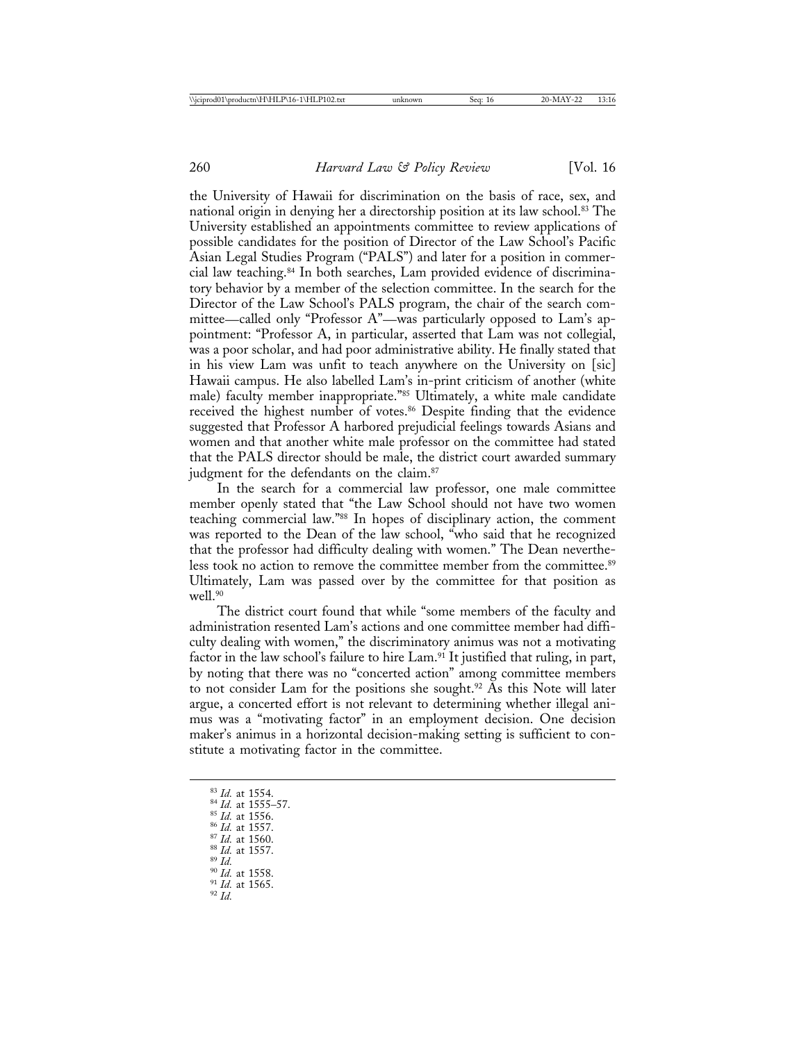the University of Hawaii for discrimination on the basis of race, sex, and national origin in denying her a directorship position at its law school.83 The University established an appointments committee to review applications of possible candidates for the position of Director of the Law School's Pacific Asian Legal Studies Program ("PALS") and later for a position in commercial law teaching.84 In both searches, Lam provided evidence of discriminatory behavior by a member of the selection committee. In the search for the Director of the Law School's PALS program, the chair of the search committee—called only "Professor A"—was particularly opposed to Lam's appointment: "Professor A, in particular, asserted that Lam was not collegial, was a poor scholar, and had poor administrative ability. He finally stated that in his view Lam was unfit to teach anywhere on the University on [sic] Hawaii campus. He also labelled Lam's in-print criticism of another (white male) faculty member inappropriate."85 Ultimately, a white male candidate received the highest number of votes.<sup>86</sup> Despite finding that the evidence suggested that Professor A harbored prejudicial feelings towards Asians and women and that another white male professor on the committee had stated that the PALS director should be male, the district court awarded summary judgment for the defendants on the claim.<sup>87</sup>

In the search for a commercial law professor, one male committee member openly stated that "the Law School should not have two women teaching commercial law."88 In hopes of disciplinary action, the comment was reported to the Dean of the law school, "who said that he recognized that the professor had difficulty dealing with women." The Dean nevertheless took no action to remove the committee member from the committee.<sup>89</sup> Ultimately, Lam was passed over by the committee for that position as well.<sup>90</sup>

The district court found that while "some members of the faculty and administration resented Lam's actions and one committee member had difficulty dealing with women," the discriminatory animus was not a motivating factor in the law school's failure to hire Lam.<sup>91</sup> It justified that ruling, in part, by noting that there was no "concerted action" among committee members to not consider Lam for the positions she sought.<sup>92</sup> As this Note will later argue, a concerted effort is not relevant to determining whether illegal animus was a "motivating factor" in an employment decision. One decision maker's animus in a horizontal decision-making setting is sufficient to constitute a motivating factor in the committee.

<sup>83</sup> *Id.* at 1554. <sup>84</sup> *Id.* at 1555–57. <br><sup>85</sup> *Id.* at 1556. <br><sup>86</sup> *Id.* at 1557. <br>87 *Id.* at 1557. 89 *Id.* at 1558. 91 *Id.* at 1565. 92 *Id*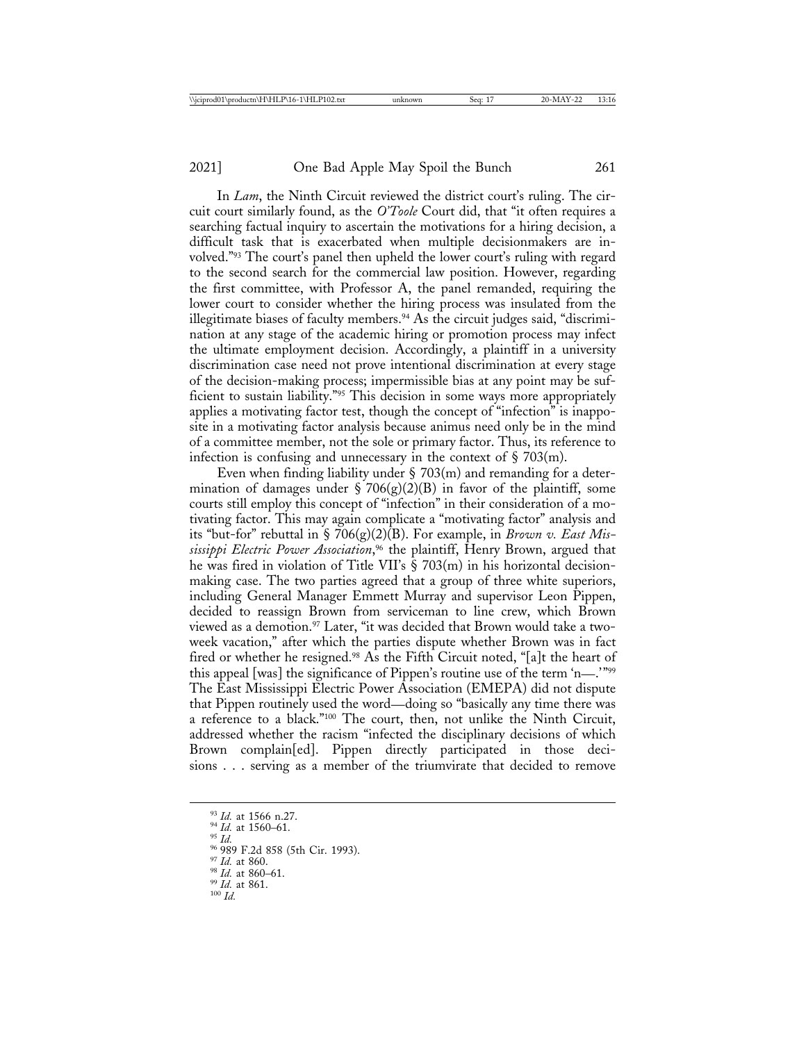In *Lam*, the Ninth Circuit reviewed the district court's ruling. The circuit court similarly found, as the *O'Toole* Court did, that "it often requires a searching factual inquiry to ascertain the motivations for a hiring decision, a difficult task that is exacerbated when multiple decisionmakers are involved."93 The court's panel then upheld the lower court's ruling with regard to the second search for the commercial law position. However, regarding the first committee, with Professor A, the panel remanded, requiring the lower court to consider whether the hiring process was insulated from the illegitimate biases of faculty members.94 As the circuit judges said, "discrimination at any stage of the academic hiring or promotion process may infect the ultimate employment decision. Accordingly, a plaintiff in a university discrimination case need not prove intentional discrimination at every stage of the decision-making process; impermissible bias at any point may be sufficient to sustain liability."<sup>95</sup> This decision in some ways more appropriately applies a motivating factor test, though the concept of "infection" is inapposite in a motivating factor analysis because animus need only be in the mind of a committee member, not the sole or primary factor. Thus, its reference to infection is confusing and unnecessary in the context of  $\S 703(m)$ .

Even when finding liability under § 703(m) and remanding for a determination of damages under  $\S$  706(g)(2)(B) in favor of the plaintiff, some courts still employ this concept of "infection" in their consideration of a motivating factor. This may again complicate a "motivating factor" analysis and its "but-for" rebuttal in § 706(g)(2)(B). For example, in *Brown v. East Mississippi Electric Power Association*, 96 the plaintiff, Henry Brown, argued that he was fired in violation of Title VII's § 703(m) in his horizontal decisionmaking case. The two parties agreed that a group of three white superiors, including General Manager Emmett Murray and supervisor Leon Pippen, decided to reassign Brown from serviceman to line crew, which Brown viewed as a demotion.<sup>97</sup> Later, "it was decided that Brown would take a twoweek vacation," after which the parties dispute whether Brown was in fact fired or whether he resigned.<sup>98</sup> As the Fifth Circuit noted, "[a]t the heart of this appeal [was] the significance of Pippen's routine use of the term 'n—.'"99 The East Mississippi Electric Power Association (EMEPA) did not dispute that Pippen routinely used the word—doing so "basically any time there was a reference to a black."100 The court, then, not unlike the Ninth Circuit, addressed whether the racism "infected the disciplinary decisions of which Brown complain[ed]. Pippen directly participated in those decisions . . . serving as a member of the triumvirate that decided to remove

<sup>93</sup> *Id.* at 1566 n.27.<br><sup>94</sup> *Id.* at 1560–61.<br><sup>95</sup> *Id.* at 860.<br><sup>97</sup> *Id.* at 860.<br><sup>99</sup> *Id.* at 860–61.<br><sup>99</sup> *Id.* at 861. 100 *Id*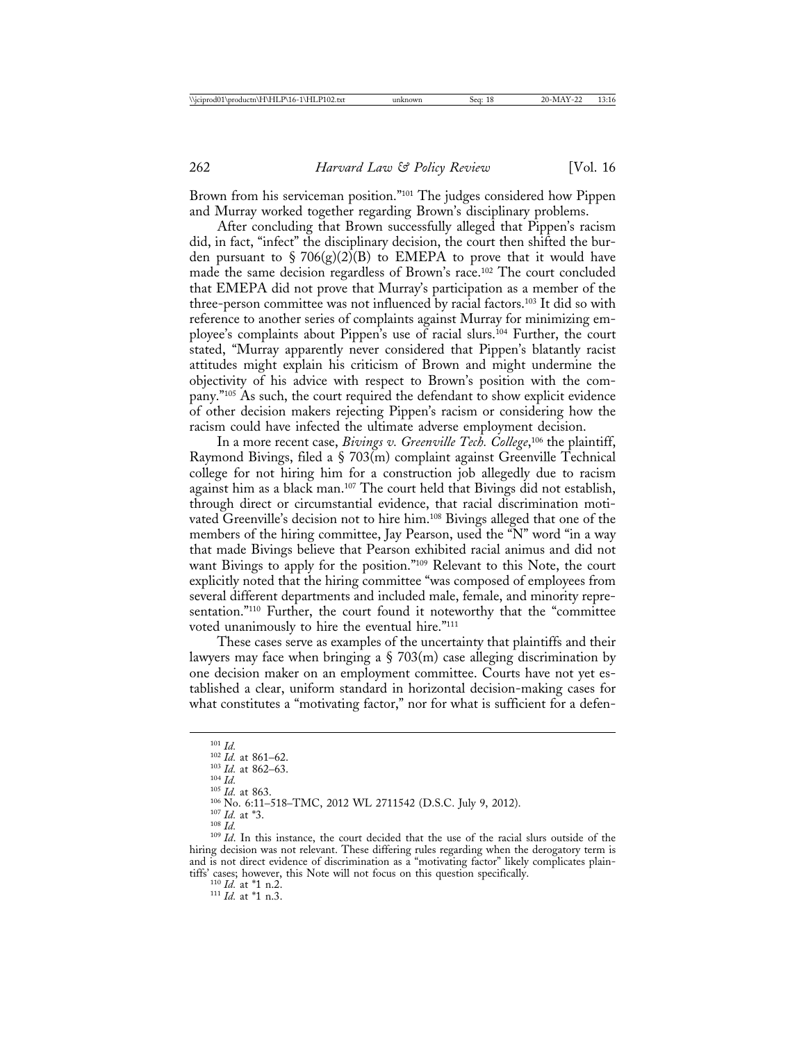Brown from his serviceman position."101 The judges considered how Pippen and Murray worked together regarding Brown's disciplinary problems.

After concluding that Brown successfully alleged that Pippen's racism did, in fact, "infect" the disciplinary decision, the court then shifted the burden pursuant to  $\S 706(g)(2)(B)$  to EMEPA to prove that it would have made the same decision regardless of Brown's race.102 The court concluded that EMEPA did not prove that Murray's participation as a member of the three-person committee was not influenced by racial factors.103 It did so with reference to another series of complaints against Murray for minimizing employee's complaints about Pippen's use of racial slurs.104 Further, the court stated, "Murray apparently never considered that Pippen's blatantly racist attitudes might explain his criticism of Brown and might undermine the objectivity of his advice with respect to Brown's position with the company."105 As such, the court required the defendant to show explicit evidence of other decision makers rejecting Pippen's racism or considering how the racism could have infected the ultimate adverse employment decision.

In a more recent case, *Bivings v. Greenville Tech. College*, 106 the plaintiff, Raymond Bivings, filed a § 703(m) complaint against Greenville Technical college for not hiring him for a construction job allegedly due to racism against him as a black man.107 The court held that Bivings did not establish, through direct or circumstantial evidence, that racial discrimination motivated Greenville's decision not to hire him.108 Bivings alleged that one of the members of the hiring committee, Jay Pearson, used the "N" word "in a way that made Bivings believe that Pearson exhibited racial animus and did not want Bivings to apply for the position."109 Relevant to this Note, the court explicitly noted that the hiring committee "was composed of employees from several different departments and included male, female, and minority representation."110 Further, the court found it noteworthy that the "committee voted unanimously to hire the eventual hire."111

These cases serve as examples of the uncertainty that plaintiffs and their lawyers may face when bringing a  $\S$  703(m) case alleging discrimination by one decision maker on an employment committee. Courts have not yet established a clear, uniform standard in horizontal decision-making cases for what constitutes a "motivating factor," nor for what is sufficient for a defen-

<sup>101</sup> *Id.*<br><sup>102</sup> *Id.* at 861–62.<br><sup>103</sup> *Id.* at 862–63.<br><sup>105</sup> *Id.* at 863.<br><sup>105</sup> No. 6:11–518–TMC, 2012 WL 2711542 (D.S.C. July 9, 2012).<br><sup>107</sup> *Id.* at \*3.<br><sup>107</sup> *Id.* at \*3.<br><sup>108</sup> *Id.* In this instance, the court de

hiring decision was not relevant. These differing rules regarding when the derogatory term is and is not direct evidence of discrimination as a "motivating factor" likely complicates plaintiffs' cases; however, this Note will not focus on this question specifically. <sup>110</sup> *Id.* at \*1 n.2. <sup>111</sup> *Id.* at \*1 n.3.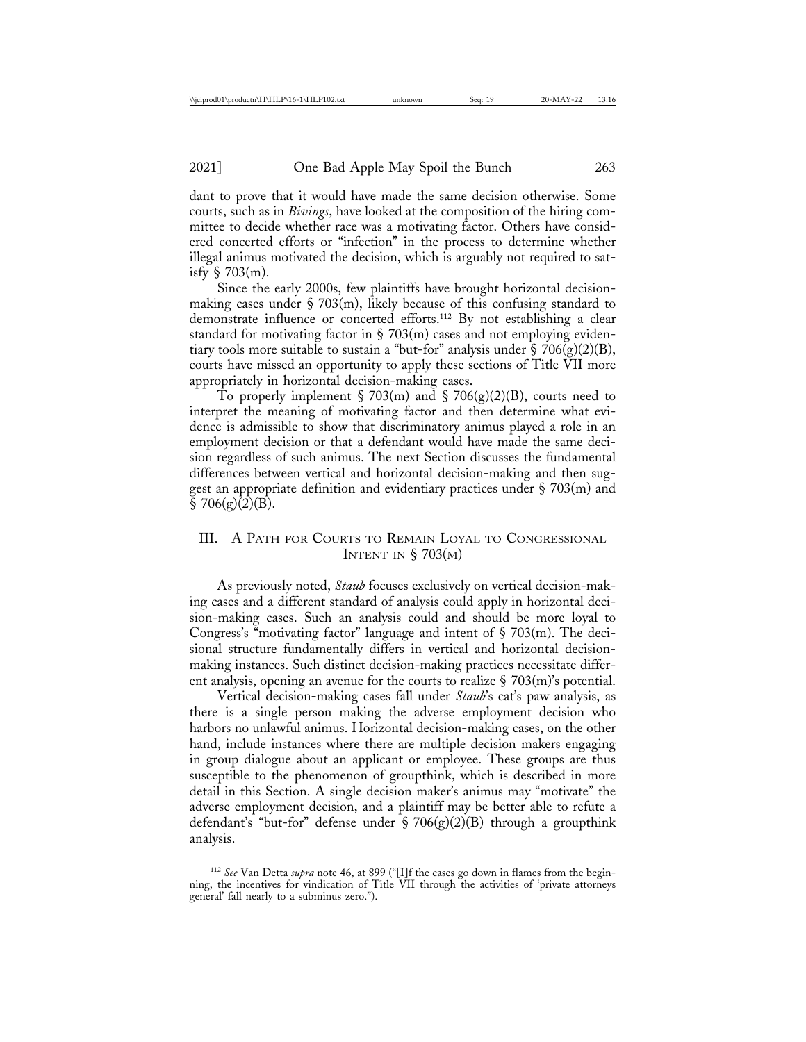dant to prove that it would have made the same decision otherwise. Some courts, such as in *Bivings*, have looked at the composition of the hiring committee to decide whether race was a motivating factor. Others have considered concerted efforts or "infection" in the process to determine whether illegal animus motivated the decision, which is arguably not required to satisfy  $\S$  703(m).

Since the early 2000s, few plaintiffs have brought horizontal decisionmaking cases under  $\S$  703(m), likely because of this confusing standard to demonstrate influence or concerted efforts.112 By not establishing a clear standard for motivating factor in  $\S$  703(m) cases and not employing evidentiary tools more suitable to sustain a "but-for" analysis under  $\S 706(g)(2)(B)$ , courts have missed an opportunity to apply these sections of Title VII more appropriately in horizontal decision-making cases.

To properly implement § 703(m) and § 706(g)(2)(B), courts need to interpret the meaning of motivating factor and then determine what evidence is admissible to show that discriminatory animus played a role in an employment decision or that a defendant would have made the same decision regardless of such animus. The next Section discusses the fundamental differences between vertical and horizontal decision-making and then suggest an appropriate definition and evidentiary practices under  $\S 703(m)$  and  $$706(g)(2)(B).$ 

# III. A PATH FOR COURTS TO REMAIN LOYAL TO CONGRESSIONAL INTENT IN  $\S$  703(M)

As previously noted, *Staub* focuses exclusively on vertical decision-making cases and a different standard of analysis could apply in horizontal decision-making cases. Such an analysis could and should be more loyal to Congress's "motivating factor" language and intent of § 703(m). The decisional structure fundamentally differs in vertical and horizontal decisionmaking instances. Such distinct decision-making practices necessitate different analysis, opening an avenue for the courts to realize  $\S$  703(m)'s potential.

Vertical decision-making cases fall under *Staub*'s cat's paw analysis, as there is a single person making the adverse employment decision who harbors no unlawful animus. Horizontal decision-making cases, on the other hand, include instances where there are multiple decision makers engaging in group dialogue about an applicant or employee. These groups are thus susceptible to the phenomenon of groupthink, which is described in more detail in this Section. A single decision maker's animus may "motivate" the adverse employment decision, and a plaintiff may be better able to refute a defendant's "but-for" defense under  $\S 706(g)(2)(B)$  through a groupthink analysis.

<sup>112</sup> *See* Van Detta *supra* note 46, at 899 ("[I]f the cases go down in flames from the beginning, the incentives for vindication of Title VII through the activities of 'private attorneys general' fall nearly to a subminus zero.").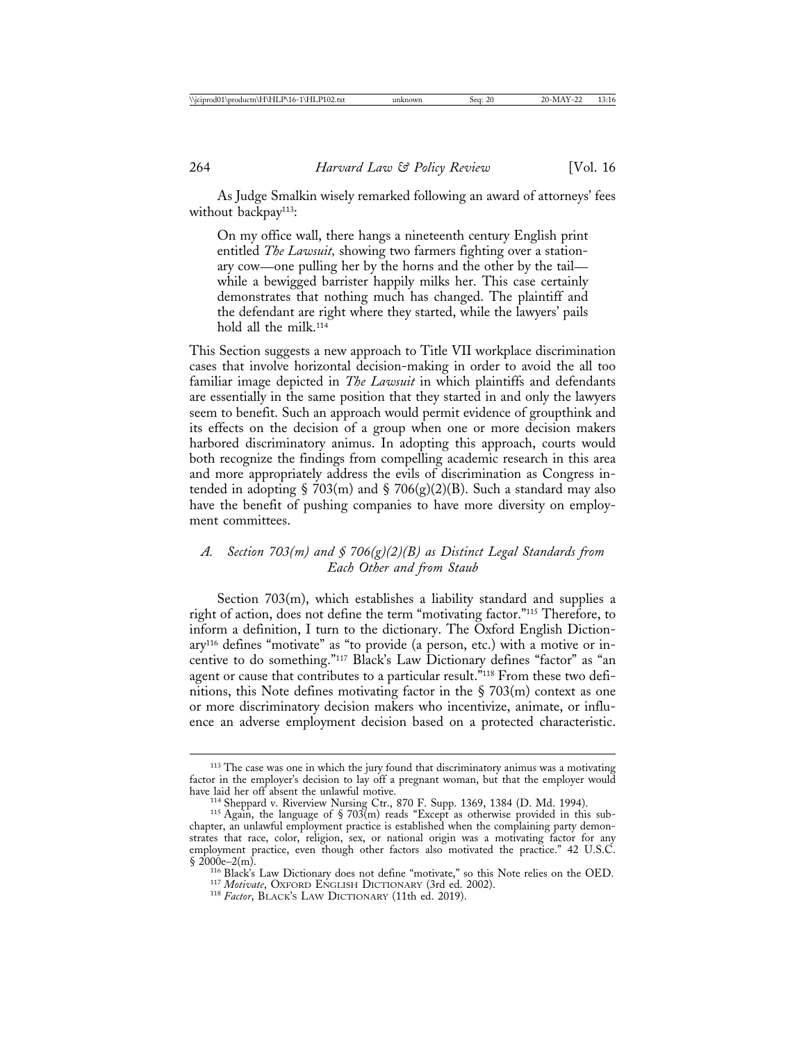As Judge Smalkin wisely remarked following an award of attorneys' fees without backpay<sup>113</sup>:

On my office wall, there hangs a nineteenth century English print entitled *The Lawsuit,* showing two farmers fighting over a stationary cow—one pulling her by the horns and the other by the tail while a bewigged barrister happily milks her. This case certainly demonstrates that nothing much has changed. The plaintiff and the defendant are right where they started, while the lawyers' pails hold all the milk.<sup>114</sup>

This Section suggests a new approach to Title VII workplace discrimination cases that involve horizontal decision-making in order to avoid the all too familiar image depicted in *The Lawsuit* in which plaintiffs and defendants are essentially in the same position that they started in and only the lawyers seem to benefit. Such an approach would permit evidence of groupthink and its effects on the decision of a group when one or more decision makers harbored discriminatory animus. In adopting this approach, courts would both recognize the findings from compelling academic research in this area and more appropriately address the evils of discrimination as Congress intended in adopting § 703(m) and § 706(g)(2)(B). Such a standard may also have the benefit of pushing companies to have more diversity on employment committees.

# *A. Section 703(m) and § 706(g)(2)(B) as Distinct Legal Standards from Each Other and from Staub*

Section 703(m), which establishes a liability standard and supplies a right of action, does not define the term "motivating factor."115 Therefore, to inform a definition, I turn to the dictionary. The Oxford English Dictionary116 defines "motivate" as "to provide (a person, etc.) with a motive or incentive to do something."117 Black's Law Dictionary defines "factor" as "an agent or cause that contributes to a particular result."<sup>118</sup> From these two definitions, this Note defines motivating factor in the § 703(m) context as one or more discriminatory decision makers who incentivize, animate, or influence an adverse employment decision based on a protected characteristic.

<sup>&</sup>lt;sup>113</sup> The case was one in which the jury found that discriminatory animus was a motivating factor in the employer's decision to lay off a pregnant woman, but that the employer would

have laid the univerview Nursing Ctr., 870 F. Supp. 1369, 1384 (D. Md. 1994).<br><sup>115</sup> Again, the language of § 703(m) reads "Except as otherwise provided in this subchapter, an unlawful employment practice is established when the complaining party demonstrates that race, color, religion, sex, or national origin was a motivating factor for any employment practice, even though other factors also motivated the practice." 42 U.S.C.  $\S$  2000e-2(m).

<sup>&</sup>lt;sup>116</sup> Black's Law Dictionary does not define "motivate," so this Note relies on the OED.<br><sup>117</sup> *Motivate*, OXFORD ENGLISH DICTIONARY (3rd ed. 2002).<br><sup>118</sup> *Factor*, BLACK'S LAW DICTIONARY (11th ed. 2019).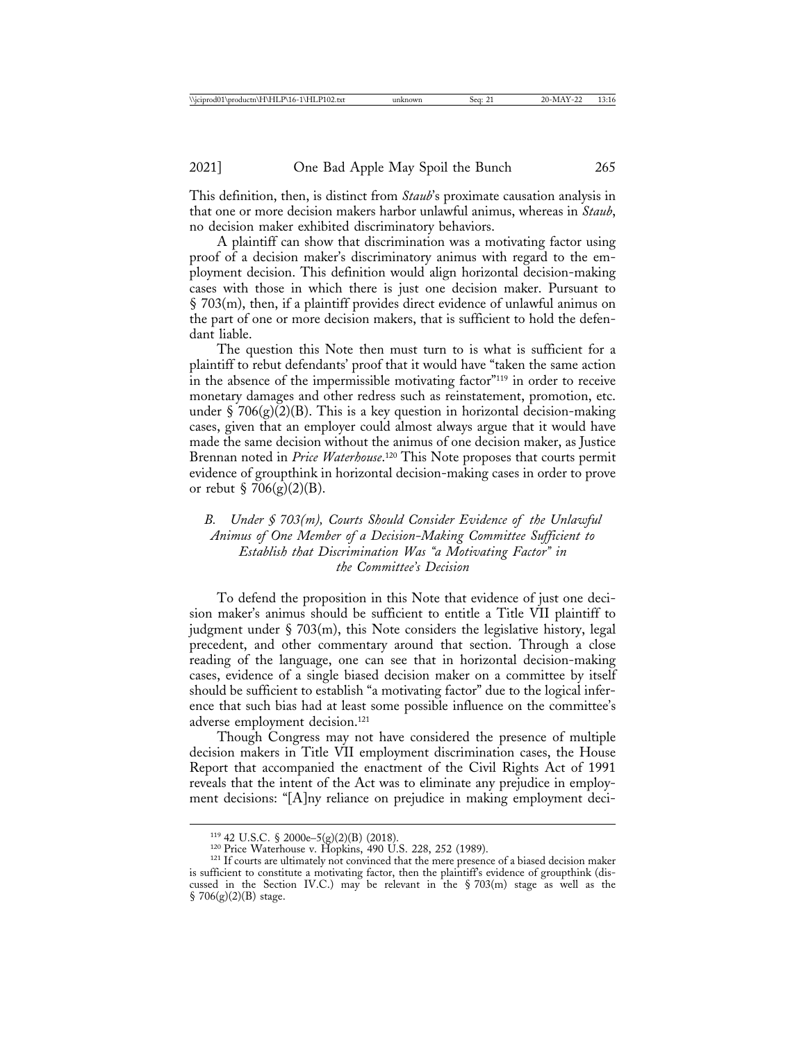This definition, then, is distinct from *Staub*'s proximate causation analysis in that one or more decision makers harbor unlawful animus, whereas in *Staub*, no decision maker exhibited discriminatory behaviors.

A plaintiff can show that discrimination was a motivating factor using proof of a decision maker's discriminatory animus with regard to the employment decision. This definition would align horizontal decision-making cases with those in which there is just one decision maker. Pursuant to § 703(m), then, if a plaintiff provides direct evidence of unlawful animus on the part of one or more decision makers, that is sufficient to hold the defendant liable.

The question this Note then must turn to is what is sufficient for a plaintiff to rebut defendants' proof that it would have "taken the same action in the absence of the impermissible motivating factor"119 in order to receive monetary damages and other redress such as reinstatement, promotion, etc. under § 706 $(g)(2)(B)$ . This is a key question in horizontal decision-making cases, given that an employer could almost always argue that it would have made the same decision without the animus of one decision maker, as Justice Brennan noted in *Price Waterhouse*. 120 This Note proposes that courts permit evidence of groupthink in horizontal decision-making cases in order to prove or rebut § 706 $(g)(2)(B)$ .

*B. Under § 703(m), Courts Should Consider Evidence of the Unlawful Animus of One Member of a Decision-Making Committee Sufficient to Establish that Discrimination Was "a Motivating Factor" in the Committee's Decision*

To defend the proposition in this Note that evidence of just one decision maker's animus should be sufficient to entitle a Title VII plaintiff to judgment under § 703(m), this Note considers the legislative history, legal precedent, and other commentary around that section. Through a close reading of the language, one can see that in horizontal decision-making cases, evidence of a single biased decision maker on a committee by itself should be sufficient to establish "a motivating factor" due to the logical inference that such bias had at least some possible influence on the committee's adverse employment decision.121

Though Congress may not have considered the presence of multiple decision makers in Title VII employment discrimination cases, the House Report that accompanied the enactment of the Civil Rights Act of 1991 reveals that the intent of the Act was to eliminate any prejudice in employment decisions: "[A]ny reliance on prejudice in making employment deci-

<sup>&</sup>lt;sup>119</sup> 42 U.S.C. § 2000e–5(g)(2)(B) (2018).<br><sup>120</sup> Price Waterhouse v. Hopkins, 490 U.S. 228, 252 (1989).<br><sup>121</sup> If courts are ultimately not convinced that the mere presence of a biased decision maker is sufficient to constitute a motivating factor, then the plaintiff's evidence of groupthink (discussed in the Section IV.C.) may be relevant in the  $\S 703(m)$  stage as well as the  $$706(g)(2)(B)$  stage.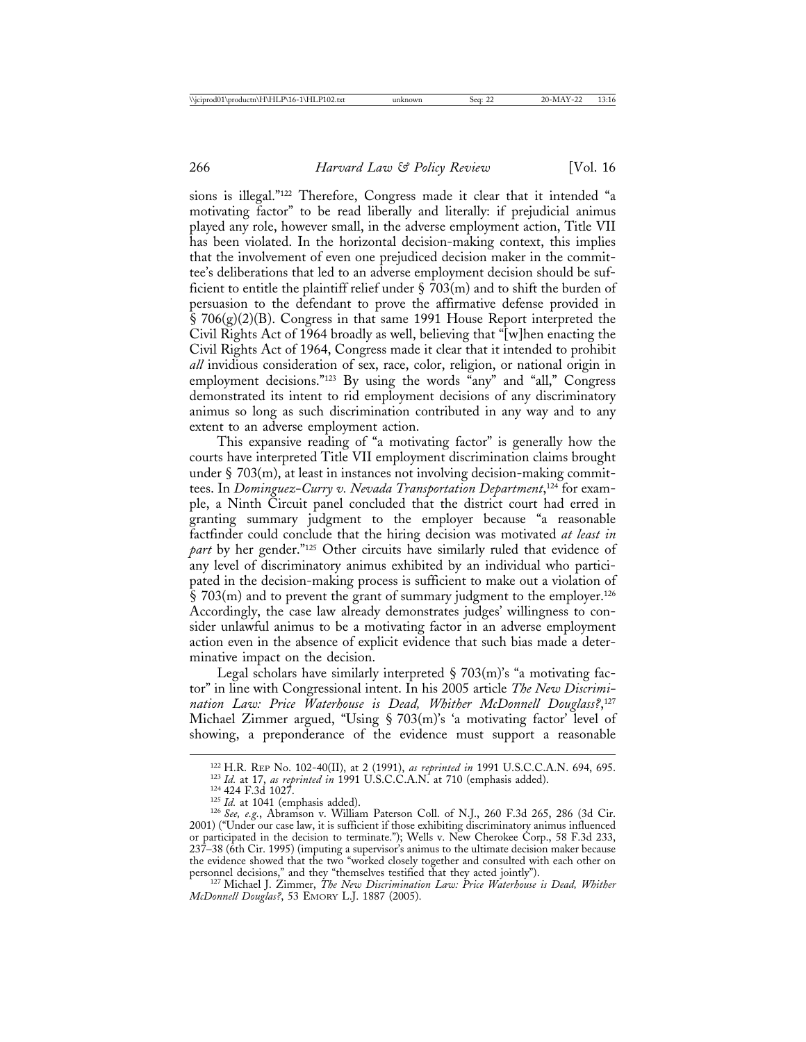sions is illegal."122 Therefore, Congress made it clear that it intended "a motivating factor" to be read liberally and literally: if prejudicial animus played any role, however small, in the adverse employment action, Title VII has been violated. In the horizontal decision-making context, this implies that the involvement of even one prejudiced decision maker in the committee's deliberations that led to an adverse employment decision should be sufficient to entitle the plaintiff relief under  $\frac{5}{203}$  m and to shift the burden of persuasion to the defendant to prove the affirmative defense provided in  $\S 706(g)(2)(B)$ . Congress in that same 1991 House Report interpreted the Civil Rights Act of 1964 broadly as well, believing that "[w]hen enacting the Civil Rights Act of 1964, Congress made it clear that it intended to prohibit *all* invidious consideration of sex, race, color, religion, or national origin in employment decisions."<sup>123</sup> By using the words "any" and "all," Congress demonstrated its intent to rid employment decisions of any discriminatory animus so long as such discrimination contributed in any way and to any extent to an adverse employment action.

This expansive reading of "a motivating factor" is generally how the courts have interpreted Title VII employment discrimination claims brought under § 703(m), at least in instances not involving decision-making committees. In *Dominguez-Curry v. Nevada Transportation Department*, 124 for example, a Ninth Circuit panel concluded that the district court had erred in granting summary judgment to the employer because "a reasonable factfinder could conclude that the hiring decision was motivated *at least in part* by her gender."125 Other circuits have similarly ruled that evidence of any level of discriminatory animus exhibited by an individual who participated in the decision-making process is sufficient to make out a violation of  $\S$  703(m) and to prevent the grant of summary judgment to the employer.<sup>126</sup> Accordingly, the case law already demonstrates judges' willingness to consider unlawful animus to be a motivating factor in an adverse employment action even in the absence of explicit evidence that such bias made a determinative impact on the decision.

Legal scholars have similarly interpreted  $\S$  703(m)'s "a motivating factor" in line with Congressional intent. In his 2005 article *The New Discrimination Law: Price Waterhouse is Dead, Whither McDonnell Douglass?*, 127 Michael Zimmer argued, "Using § 703(m)'s 'a motivating factor' level of showing, a preponderance of the evidence must support a reasonable

*McDonnell Douglas?*, 53 EMORY L.J. 1887 (2005).

<sup>&</sup>lt;sup>122</sup> H.R. REP No. 102-40(II), at 2 (1991), *as reprinted in* 1991 U.S.C.C.A.N. 694, 695.<br><sup>123</sup> *Id.* at 17, *as reprinted in* 1991 U.S.C.C.A.N. at 710 (emphasis added).<br><sup>124</sup> 424 F.3d 1027.<br><sup>125</sup> *Id.* at 1041 (emphasis 2001) ("Under our case law, it is sufficient if those exhibiting discriminatory animus influenced or participated in the decision to terminate."); Wells v. New Cherokee Corp., 58 F.3d 233, 237–38 (6th Cir. 1995) (imputing a supervisor's animus to the ultimate decision maker because the evidence showed that the two "worked closely together and consulted with each other on personnel decisions," and they "themselves testified that they acted jointly"). <sup>127</sup> Michael J. Zimmer, *The New Discrimination Law: Price Waterhouse is Dead, Whither*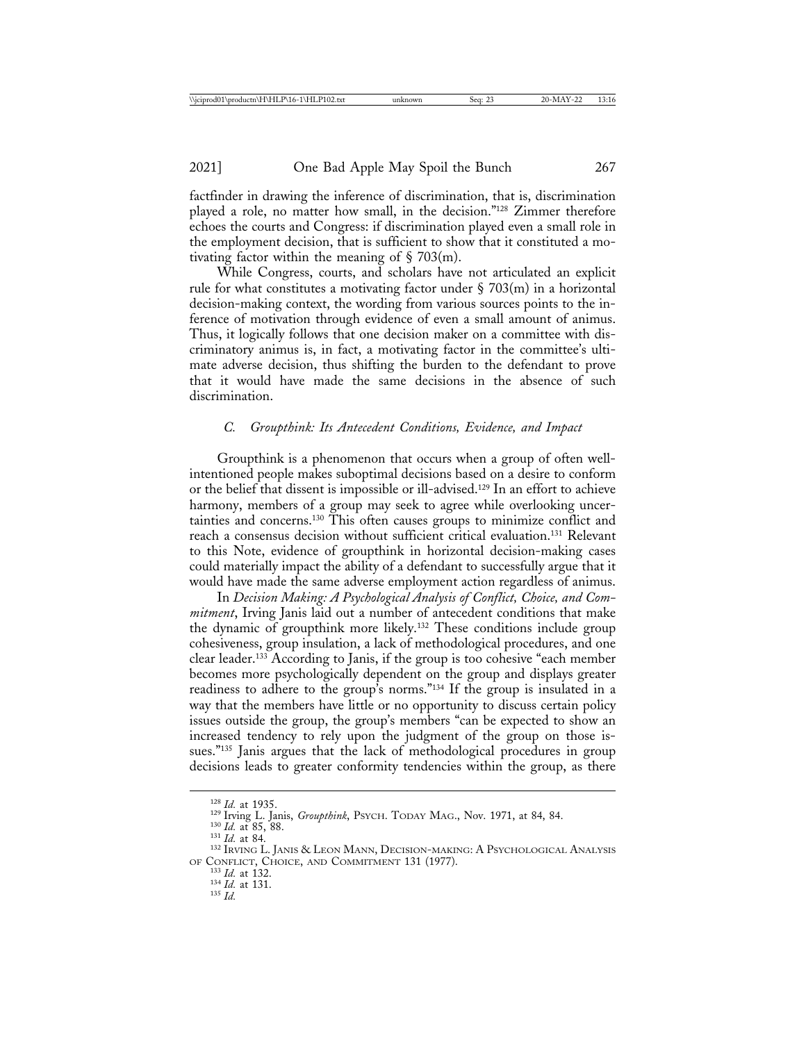factfinder in drawing the inference of discrimination, that is, discrimination played a role, no matter how small, in the decision."128 Zimmer therefore echoes the courts and Congress: if discrimination played even a small role in the employment decision, that is sufficient to show that it constituted a motivating factor within the meaning of  $\S$  703(m).

While Congress, courts, and scholars have not articulated an explicit rule for what constitutes a motivating factor under  $\S$  703(m) in a horizontal decision-making context, the wording from various sources points to the inference of motivation through evidence of even a small amount of animus. Thus, it logically follows that one decision maker on a committee with discriminatory animus is, in fact, a motivating factor in the committee's ultimate adverse decision, thus shifting the burden to the defendant to prove that it would have made the same decisions in the absence of such discrimination.

#### *C. Groupthink: Its Antecedent Conditions, Evidence, and Impact*

Groupthink is a phenomenon that occurs when a group of often wellintentioned people makes suboptimal decisions based on a desire to conform or the belief that dissent is impossible or ill-advised.129 In an effort to achieve harmony, members of a group may seek to agree while overlooking uncertainties and concerns.130 This often causes groups to minimize conflict and reach a consensus decision without sufficient critical evaluation.131 Relevant to this Note, evidence of groupthink in horizontal decision-making cases could materially impact the ability of a defendant to successfully argue that it would have made the same adverse employment action regardless of animus.

In *Decision Making: A Psychological Analysis of Conflict, Choice, and Commitment*, Irving Janis laid out a number of antecedent conditions that make the dynamic of groupthink more likely.132 These conditions include group cohesiveness, group insulation, a lack of methodological procedures, and one clear leader.133 According to Janis, if the group is too cohesive "each member becomes more psychologically dependent on the group and displays greater readiness to adhere to the group's norms."134 If the group is insulated in a way that the members have little or no opportunity to discuss certain policy issues outside the group, the group's members "can be expected to show an increased tendency to rely upon the judgment of the group on those issues."135 Janis argues that the lack of methodological procedures in group decisions leads to greater conformity tendencies within the group, as there

<sup>&</sup>lt;sup>128</sup> *Id.* at 1935.<br><sup>129</sup> Irving L. Janis, *Groupthink*, Psych. Today Mag., Nov. 1971, at 84, 84.<br><sup>130</sup> *Id.* at 85, 88.<br><sup>131</sup> *Id.* at 84.<br><sup>132</sup> Irving L. Janis & Leon Mann, Decision-Making: A Psychological Analysis OF CONFLICT, CHOICE, AND COMMITMENT 131 (1977).<br><sup>133</sup> *Id.* at 132.<br><sup>134</sup> *Id.* at 131.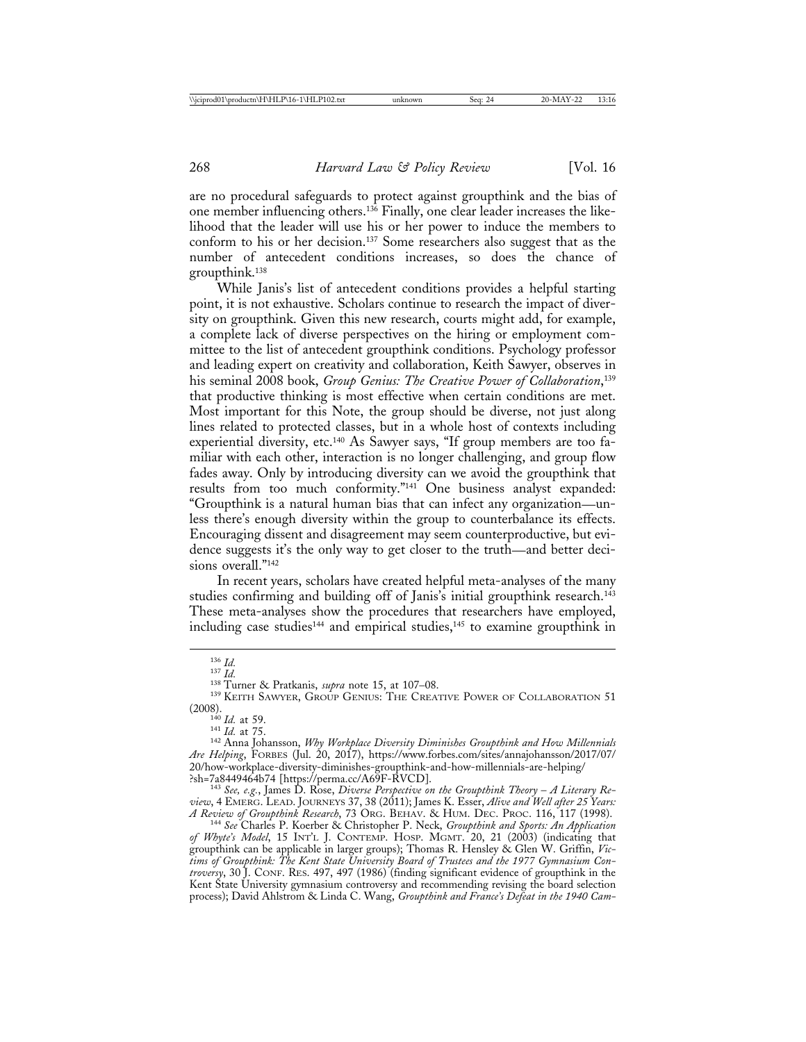are no procedural safeguards to protect against groupthink and the bias of one member influencing others.136 Finally, one clear leader increases the likelihood that the leader will use his or her power to induce the members to conform to his or her decision.137 Some researchers also suggest that as the number of antecedent conditions increases, so does the chance of groupthink.138

While Janis's list of antecedent conditions provides a helpful starting point, it is not exhaustive. Scholars continue to research the impact of diversity on groupthink. Given this new research, courts might add, for example, a complete lack of diverse perspectives on the hiring or employment committee to the list of antecedent groupthink conditions. Psychology professor and leading expert on creativity and collaboration, Keith Sawyer, observes in his seminal 2008 book, *Group Genius: The Creative Power of Collaboration*, 139 that productive thinking is most effective when certain conditions are met. Most important for this Note, the group should be diverse, not just along lines related to protected classes, but in a whole host of contexts including experiential diversity, etc.<sup>140</sup> As Sawyer says, "If group members are too familiar with each other, interaction is no longer challenging, and group flow fades away. Only by introducing diversity can we avoid the groupthink that results from too much conformity."141 One business analyst expanded: "Groupthink is a natural human bias that can infect any organization—unless there's enough diversity within the group to counterbalance its effects. Encouraging dissent and disagreement may seem counterproductive, but evidence suggests it's the only way to get closer to the truth—and better decisions overall."<sup>142</sup>

In recent years, scholars have created helpful meta-analyses of the many studies confirming and building off of Janis's initial groupthink research.<sup>143</sup> These meta-analyses show the procedures that researchers have employed, including case studies<sup>144</sup> and empirical studies,<sup>145</sup> to examine groupthink in

<sup>&</sup>lt;sup>136</sup> *Id.* 137 *Id.* 138 Turner & Pratkanis, *supra* note 15, at 107–08.<br><sup>138</sup> Turner & Pratkanis, *supra* note 15, at 107–08.<br><sup>139</sup> KEITH SAWYER, GROUP GENIUS: THE CREATIVE POWER OF COLLABORATION 51<br>(2008).

<sup>&</sup>lt;sup>140</sup> Id. at 59.<br><sup>141</sup> Id. at 75.<br><sup>142</sup> Anna Johansson, *Why Workplace Diversity Diminishes Groupthink and How Millennials Are Helping*, FORBES (Jul. 20, 2017), https://www.forbes.com/sites/annajohansson/2017/07/ 20/how-workplace-diversity-diminishes-groupthink-and-how-millennials-are-helping/

<sup>?</sup>sh=7a8449464b74 [https://perma.cc/A69F-RVCD]. <sup>143</sup> *See, e.g.*, James D. Rose, *Diverse Perspective on the Groupthink Theory* – *A Literary Review*, 4 EMERG. LEAD. JOURNEYS 37, 38 (2011); James K. Esser, *Alive and Well after 25 Years:*

*A Review of Groupthink Research*, 73 ORG. BEHAV. & HUM. DEC. PROC. 116, 117 (1998). <sup>144</sup> *See* Charles P. Koerber & Christopher P. Neck, *Groupthink and Sports: An Application of Whyte's Model*, 15 INT'L J. CONTEMP. HOSP. MGMT. 20, 21 (2003) (indicating that groupthink can be applicable in larger groups); Thomas R. Hensley & Glen W. Griffin, *Victims of Groupthink: The Kent State University Board of Trustees and the 1977 Gymnasium Controversy*, 30 J. CONF. RES. 497, 497 (1986) (finding significant evidence of groupthink in the Kent State University gymnasium controversy and recommending revising the board selection process); David Ahlstrom & Linda C. Wang, *Groupthink and France's Defeat in the 1940 Cam-*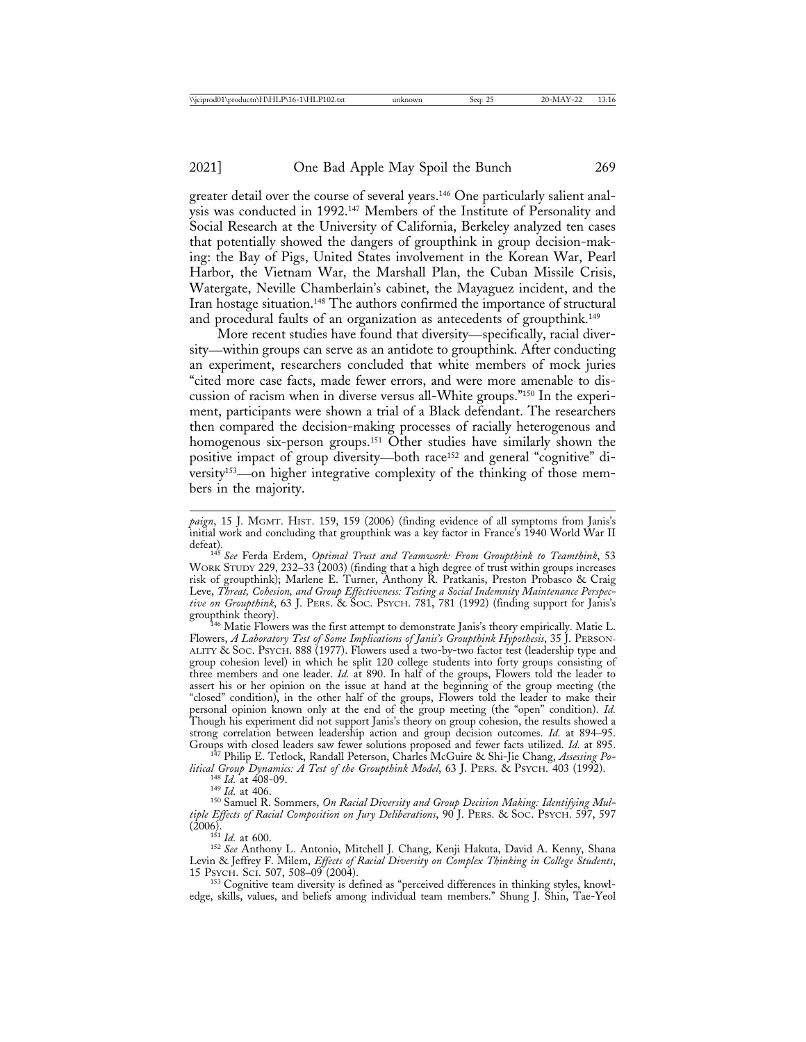greater detail over the course of several years.146 One particularly salient analysis was conducted in 1992.147 Members of the Institute of Personality and Social Research at the University of California, Berkeley analyzed ten cases that potentially showed the dangers of groupthink in group decision-making: the Bay of Pigs, United States involvement in the Korean War, Pearl Harbor, the Vietnam War, the Marshall Plan, the Cuban Missile Crisis, Watergate, Neville Chamberlain's cabinet, the Mayaguez incident, and the Iran hostage situation.<sup>148</sup> The authors confirmed the importance of structural and procedural faults of an organization as antecedents of groupthink.<sup>149</sup>

More recent studies have found that diversity—specifically, racial diversity—within groups can serve as an antidote to groupthink. After conducting an experiment, researchers concluded that white members of mock juries "cited more case facts, made fewer errors, and were more amenable to discussion of racism when in diverse versus all-White groups."150 In the experiment, participants were shown a trial of a Black defendant. The researchers then compared the decision-making processes of racially heterogenous and homogenous six-person groups.<sup>151</sup> Other studies have similarly shown the positive impact of group diversity—both race152 and general "cognitive" diversity153—on higher integrative complexity of the thinking of those members in the majority.

*paign*, 15 J. MGMT. HIST. 159, 159 (2006) (finding evidence of all symptoms from Janis's initial work and concluding that groupthink was a key factor in France's 1940 World War II

defeat). <sup>145</sup> *See* Ferda Erdem, *Optimal Trust and Teamwork: From Groupthink to Teamthink*, 53 WORK STUDY 229, 232–33 (2003) (finding that a high degree of trust within groups increases risk of groupthink); Marlene E. Turner, Anthony R. Pratkanis, Preston Probasco & Craig Leve, *Threat, Cohesion, and Group Effectiveness: Testing a Social Indemnity Maintenance Perspective on Groupthink*, 63 J. PERS. & SOC. PSYCH. 781, 781 (1992) (finding support for Janis's groupthink theory).<br><sup>146</sup> Matie Flowers was the first attempt to demonstrate Janis's theory empirically. Matie L.

Flowers, *A Laboratory Test of Some Implications of Janis's Groupthink Hypothesis*, 35 J. PERSON-ALITY & SOC. PSYCH. 888 (1977). Flowers used a two-by-two factor test (leadership type and group cohesion level) in which he split 120 college students into forty groups consisting of three members and one leader. *Id.* at 890. In half of the groups, Flowers told the leader to assert his or her opinion on the issue at hand at the beginning of the group meeting (the "closed" condition), in the other half of the groups, Flowers told the leader to make their personal opinion known only at the end of the group meeting (the "open" condition). *Id.* Though his experiment did not support Janis's theory on group cohesion, the results showed a strong correlation between leadership action and group decision outcomes. *Id.* at 894–95. Groups with closed leaders saw fewer solutions proposed and fewer facts utilized. *Id.* at 895.

<sup>147</sup> Philip E. Tetlock, Randall Peterson, Charles McGuire & Shi-Jie Chang, Assessing Po-<br>*Ittical Group Dynamics: A Test of the Groupthink Model*, 63 J. PERS. & PSYCH. 403 (1992).

<sup>148</sup> Id. at 408-09.<br><sup>149</sup> Id. at 406.<br><sup>149</sup> Samuel R. Sommers, *On Racial Diversity and Group Decision Making: Identifying Multiple Effects of Racial Composition on Jury Deliberations*, 90 J. PERS. & SOC. PSYCH. 597, 597

v. 151<br><sup>151</sup> *Id.* at 600.<br><sup>152</sup> *See* Anthony L. Antonio, Mitchell J. Chang, Kenji Hakuta, David A. Kenny, Shana Levin & Jeffrey F. Milem, *Effects of Racial Diversity on Complex Thinking in College Students*, 15 Psych. Sci. 507, 508-09 (2004).

<sup>153</sup> Cognitive team diversity is defined as "perceived differences in thinking styles, knowledge, skills, values, and beliefs among individual team members." Shung J. Shin, Tae-Yeol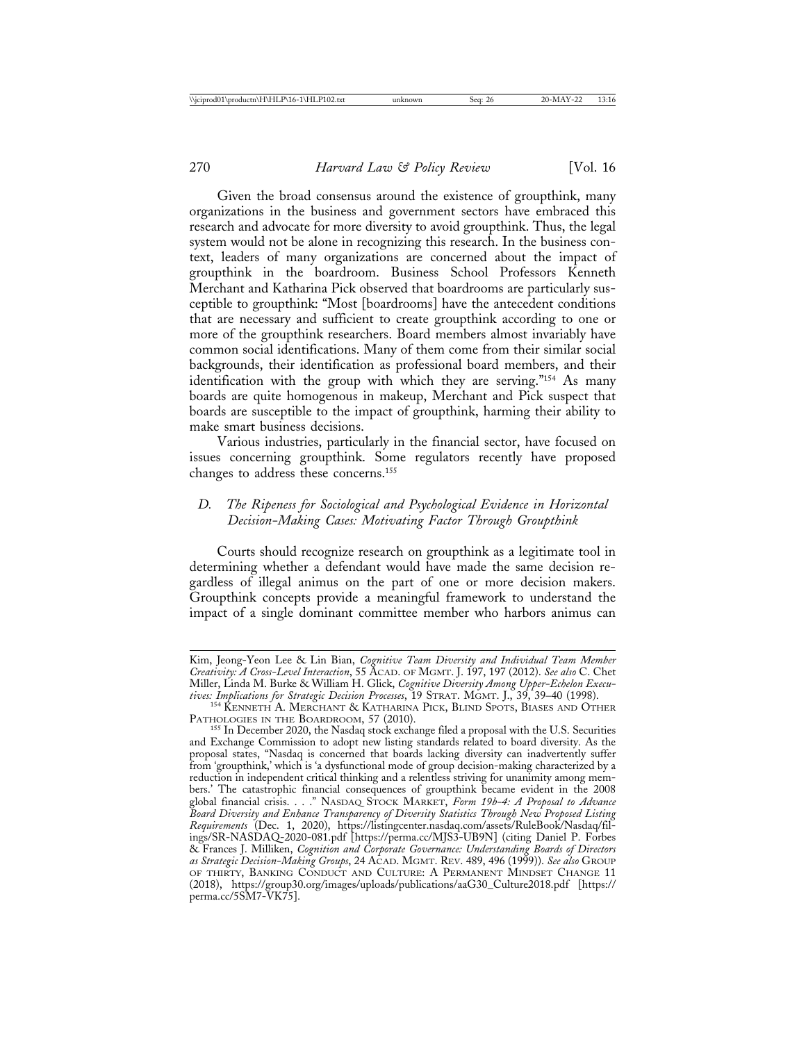Given the broad consensus around the existence of groupthink, many organizations in the business and government sectors have embraced this research and advocate for more diversity to avoid groupthink. Thus, the legal system would not be alone in recognizing this research. In the business context, leaders of many organizations are concerned about the impact of groupthink in the boardroom. Business School Professors Kenneth Merchant and Katharina Pick observed that boardrooms are particularly susceptible to groupthink: "Most [boardrooms] have the antecedent conditions that are necessary and sufficient to create groupthink according to one or more of the groupthink researchers. Board members almost invariably have common social identifications. Many of them come from their similar social backgrounds, their identification as professional board members, and their identification with the group with which they are serving."154 As many boards are quite homogenous in makeup, Merchant and Pick suspect that boards are susceptible to the impact of groupthink, harming their ability to make smart business decisions.

Various industries, particularly in the financial sector, have focused on issues concerning groupthink. Some regulators recently have proposed changes to address these concerns.155

#### *D. The Ripeness for Sociological and Psychological Evidence in Horizontal Decision-Making Cases: Motivating Factor Through Groupthink*

Courts should recognize research on groupthink as a legitimate tool in determining whether a defendant would have made the same decision regardless of illegal animus on the part of one or more decision makers. Groupthink concepts provide a meaningful framework to understand the impact of a single dominant committee member who harbors animus can

Kim, Jeong-Yeon Lee & Lin Bian, *Cognitive Team Diversity and Individual Team Member Creativity: A Cross-Level Interaction*, 55 ACAD. OF MGMT. J. 197, 197 (2012). *See also* C. Chet Miller, Linda M. Burke & William H. Glick, *Cognitive Diversity Among Upper-Echelon Execu-*

*tives: Implications for Strategic Decision Processes*, 19 STRAT. MGMT. J., 39, 39–40 (1998). <sup>154</sup> KENNETH A. MERCHANT & KATHARINA PICK, BLIND SPOTS, BIASES AND OTHER PATHOLOGIES IN THE BOARDROOM, 57 (2010).<br><sup>155</sup> In December 2020, the Nasdaq stock exchange filed a proposal with the U.S. Securities

and Exchange Commission to adopt new listing standards related to board diversity. As the proposal states, "Nasdaq is concerned that boards lacking diversity can inadvertently suffer from 'groupthink,' which is 'a dysfunctional mode of group decision-making characterized by a reduction in independent critical thinking and a relentless striving for unanimity among members.' The catastrophic financial consequences of groupthink became evident in the 2008 global financial crisis. . . ." NASDAQ STOCK MARKET, *Form 19b-4: A Proposal to Advance Board Diversity and Enhance Transparency of Diversity Statistics Through New Proposed Listing Requirements* (Dec. 1, 2020), https://listingcenter.nasdaq.com/assets/RuleBook/Nasdaq/filings/SR-NASDAQ-2020-081.pdf [https://perma.cc/MJS3-UB9N] (citing Daniel P. Forbes & Frances J. Milliken, *Cognition and Corporate Governance: Understanding Boards of Directors as Strategic Decision-Making Groups*, 24 ACAD. MGMT. REV. 489, 496 (1999)). *See also* GROUP OF THIRTY, BANKING CONDUCT AND CULTURE: A PERMANENT MINDSET CHANGE 11 (2018), https://group30.org/images/uploads/publications/aaG30\_Culture2018.pdf [https:// perma.cc/5SM7-VK75].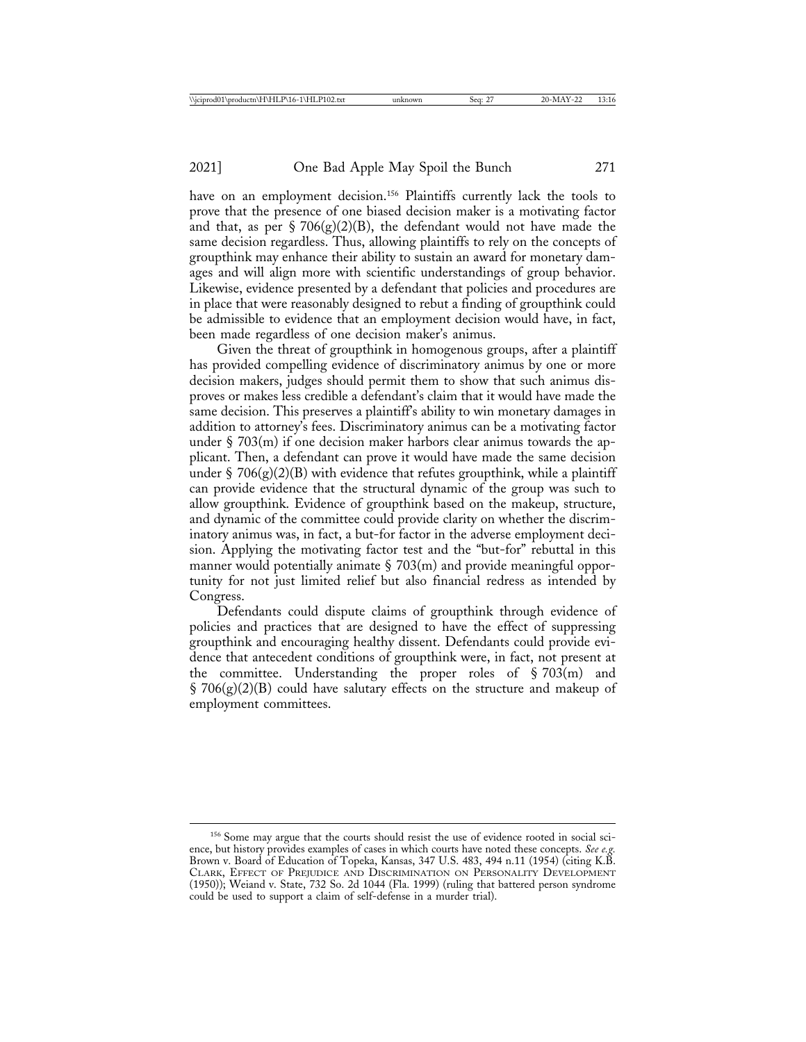have on an employment decision.<sup>156</sup> Plaintiffs currently lack the tools to prove that the presence of one biased decision maker is a motivating factor and that, as per § 706(g)(2)(B), the defendant would not have made the same decision regardless. Thus, allowing plaintiffs to rely on the concepts of groupthink may enhance their ability to sustain an award for monetary damages and will align more with scientific understandings of group behavior. Likewise, evidence presented by a defendant that policies and procedures are in place that were reasonably designed to rebut a finding of groupthink could be admissible to evidence that an employment decision would have, in fact, been made regardless of one decision maker's animus.

Given the threat of groupthink in homogenous groups, after a plaintiff has provided compelling evidence of discriminatory animus by one or more decision makers, judges should permit them to show that such animus disproves or makes less credible a defendant's claim that it would have made the same decision. This preserves a plaintiff's ability to win monetary damages in addition to attorney's fees. Discriminatory animus can be a motivating factor under  $\S$  703(m) if one decision maker harbors clear animus towards the applicant. Then, a defendant can prove it would have made the same decision under § 706 $(g)(2)(B)$  with evidence that refutes groupthink, while a plaintiff can provide evidence that the structural dynamic of the group was such to allow groupthink. Evidence of groupthink based on the makeup, structure, and dynamic of the committee could provide clarity on whether the discriminatory animus was, in fact, a but-for factor in the adverse employment decision. Applying the motivating factor test and the "but-for" rebuttal in this manner would potentially animate  $\S$  703(m) and provide meaningful opportunity for not just limited relief but also financial redress as intended by Congress.

Defendants could dispute claims of groupthink through evidence of policies and practices that are designed to have the effect of suppressing groupthink and encouraging healthy dissent. Defendants could provide evidence that antecedent conditions of groupthink were, in fact, not present at the committee. Understanding the proper roles of  $\S 703(m)$  and  $\S 706(g)(2)(B)$  could have salutary effects on the structure and makeup of employment committees.

<sup>&</sup>lt;sup>156</sup> Some may argue that the courts should resist the use of evidence rooted in social science, but history provides examples of cases in which courts have noted these concepts. *See e.g.* Brown v. Board of Education of Topeka, Kansas, 347 U.S. 483, 494 n.11 (1954) (citing K.B. CLARK, EFFECT OF PREJUDICE AND DISCRIMINATION ON PERSONALITY DEVELOPMENT (1950)); Weiand v. State, 732 So. 2d 1044 (Fla. 1999) (ruling that battered person syndrome could be used to support a claim of self-defense in a murder trial).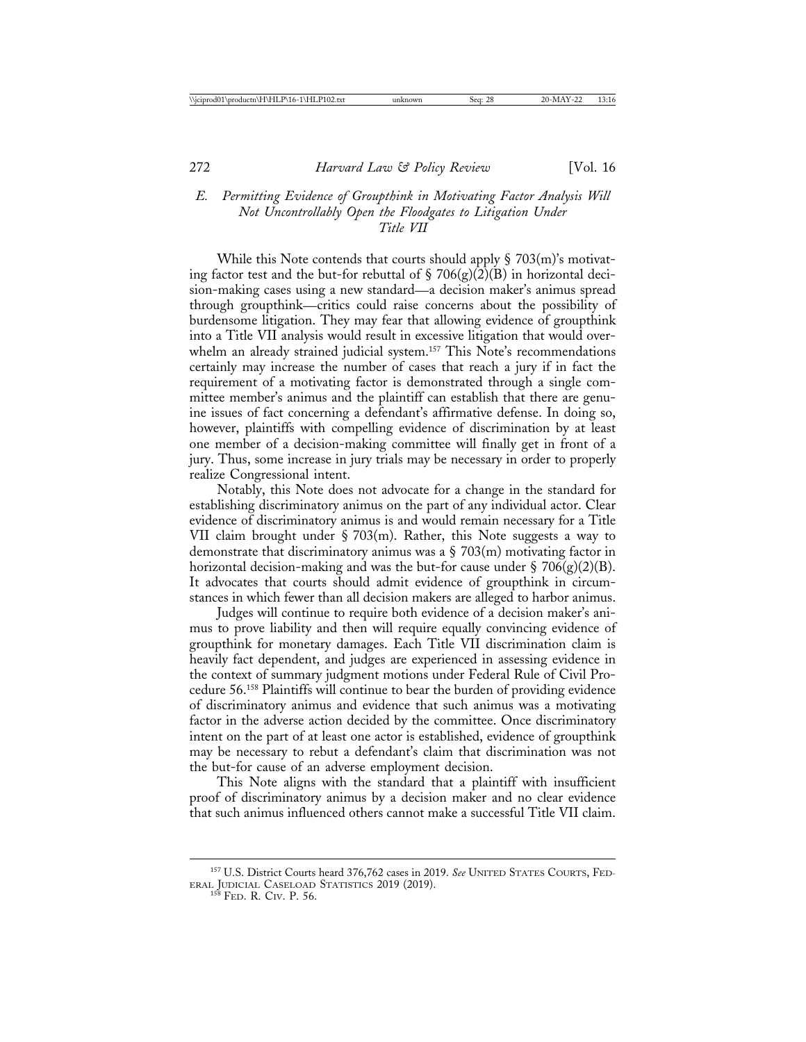# *E. Permitting Evidence of Groupthink in Motivating Factor Analysis Will Not Uncontrollably Open the Floodgates to Litigation Under Title VII*

While this Note contends that courts should apply  $\S$  703(m)'s motivating factor test and the but-for rebuttal of  $\S$  706(g)(2)(B) in horizontal decision-making cases using a new standard—a decision maker's animus spread through groupthink—critics could raise concerns about the possibility of burdensome litigation. They may fear that allowing evidence of groupthink into a Title VII analysis would result in excessive litigation that would overwhelm an already strained judicial system.<sup>157</sup> This Note's recommendations certainly may increase the number of cases that reach a jury if in fact the requirement of a motivating factor is demonstrated through a single committee member's animus and the plaintiff can establish that there are genuine issues of fact concerning a defendant's affirmative defense. In doing so, however, plaintiffs with compelling evidence of discrimination by at least one member of a decision-making committee will finally get in front of a jury. Thus, some increase in jury trials may be necessary in order to properly realize Congressional intent.

Notably, this Note does not advocate for a change in the standard for establishing discriminatory animus on the part of any individual actor. Clear evidence of discriminatory animus is and would remain necessary for a Title VII claim brought under § 703(m). Rather, this Note suggests a way to demonstrate that discriminatory animus was a  $\S$  703(m) motivating factor in horizontal decision-making and was the but-for cause under § 706(g)(2)(B). It advocates that courts should admit evidence of groupthink in circumstances in which fewer than all decision makers are alleged to harbor animus.

Judges will continue to require both evidence of a decision maker's animus to prove liability and then will require equally convincing evidence of groupthink for monetary damages. Each Title VII discrimination claim is heavily fact dependent, and judges are experienced in assessing evidence in the context of summary judgment motions under Federal Rule of Civil Procedure 56.158 Plaintiffs will continue to bear the burden of providing evidence of discriminatory animus and evidence that such animus was a motivating factor in the adverse action decided by the committee. Once discriminatory intent on the part of at least one actor is established, evidence of groupthink may be necessary to rebut a defendant's claim that discrimination was not the but-for cause of an adverse employment decision.

This Note aligns with the standard that a plaintiff with insufficient proof of discriminatory animus by a decision maker and no clear evidence that such animus influenced others cannot make a successful Title VII claim.

<sup>157</sup> U.S. District Courts heard 376,762 cases in 2019. *See* UNITED STATES COURTS, FED-ERAL JUDICIAL CASELOAD STATISTICS 2019 (2019). <sup>158</sup> FED. R. CIV. P. 56.